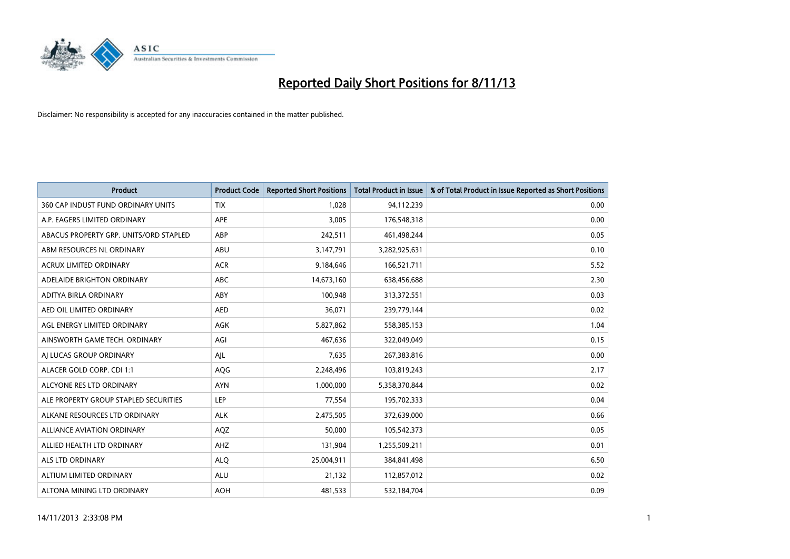

| <b>Product</b>                         | <b>Product Code</b> | <b>Reported Short Positions</b> | <b>Total Product in Issue</b> | % of Total Product in Issue Reported as Short Positions |
|----------------------------------------|---------------------|---------------------------------|-------------------------------|---------------------------------------------------------|
| 360 CAP INDUST FUND ORDINARY UNITS     | <b>TIX</b>          | 1,028                           | 94,112,239                    | 0.00                                                    |
| A.P. EAGERS LIMITED ORDINARY           | APE                 | 3,005                           | 176,548,318                   | 0.00                                                    |
| ABACUS PROPERTY GRP. UNITS/ORD STAPLED | ABP                 | 242,511                         | 461,498,244                   | 0.05                                                    |
| ABM RESOURCES NL ORDINARY              | ABU                 | 3,147,791                       | 3,282,925,631                 | 0.10                                                    |
| <b>ACRUX LIMITED ORDINARY</b>          | <b>ACR</b>          | 9,184,646                       | 166,521,711                   | 5.52                                                    |
| ADELAIDE BRIGHTON ORDINARY             | <b>ABC</b>          | 14,673,160                      | 638,456,688                   | 2.30                                                    |
| ADITYA BIRLA ORDINARY                  | ABY                 | 100,948                         | 313,372,551                   | 0.03                                                    |
| AED OIL LIMITED ORDINARY               | <b>AED</b>          | 36,071                          | 239,779,144                   | 0.02                                                    |
| AGL ENERGY LIMITED ORDINARY            | <b>AGK</b>          | 5,827,862                       | 558,385,153                   | 1.04                                                    |
| AINSWORTH GAME TECH. ORDINARY          | AGI                 | 467,636                         | 322,049,049                   | 0.15                                                    |
| AI LUCAS GROUP ORDINARY                | AJL                 | 7,635                           | 267,383,816                   | 0.00                                                    |
| ALACER GOLD CORP. CDI 1:1              | AQG                 | 2,248,496                       | 103,819,243                   | 2.17                                                    |
| ALCYONE RES LTD ORDINARY               | <b>AYN</b>          | 1,000,000                       | 5,358,370,844                 | 0.02                                                    |
| ALE PROPERTY GROUP STAPLED SECURITIES  | LEP                 | 77,554                          | 195,702,333                   | 0.04                                                    |
| ALKANE RESOURCES LTD ORDINARY          | <b>ALK</b>          | 2,475,505                       | 372,639,000                   | 0.66                                                    |
| ALLIANCE AVIATION ORDINARY             | AQZ                 | 50,000                          | 105,542,373                   | 0.05                                                    |
| ALLIED HEALTH LTD ORDINARY             | AHZ                 | 131,904                         | 1,255,509,211                 | 0.01                                                    |
| <b>ALS LTD ORDINARY</b>                | <b>ALQ</b>          | 25,004,911                      | 384, 841, 498                 | 6.50                                                    |
| ALTIUM LIMITED ORDINARY                | <b>ALU</b>          | 21,132                          | 112,857,012                   | 0.02                                                    |
| ALTONA MINING LTD ORDINARY             | <b>AOH</b>          | 481,533                         | 532,184,704                   | 0.09                                                    |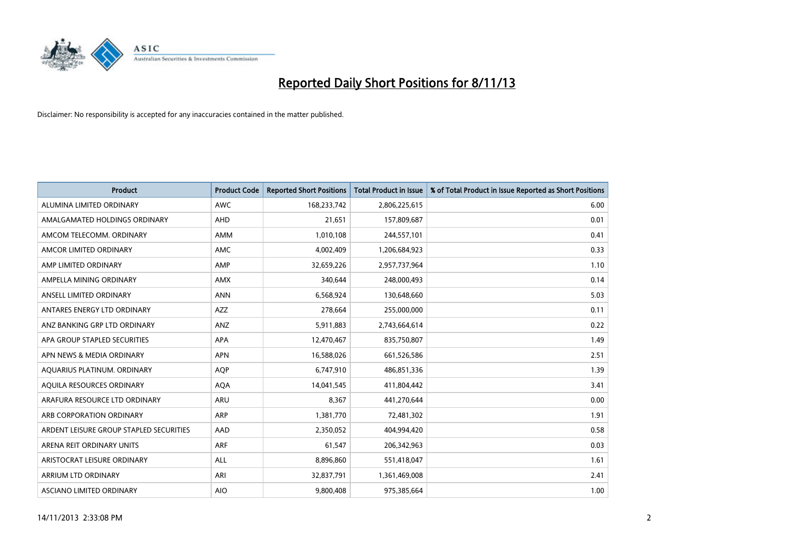

| <b>Product</b>                          | <b>Product Code</b> | <b>Reported Short Positions</b> | <b>Total Product in Issue</b> | % of Total Product in Issue Reported as Short Positions |
|-----------------------------------------|---------------------|---------------------------------|-------------------------------|---------------------------------------------------------|
| ALUMINA LIMITED ORDINARY                | <b>AWC</b>          | 168,233,742                     | 2,806,225,615                 | 6.00                                                    |
| AMALGAMATED HOLDINGS ORDINARY           | AHD                 | 21,651                          | 157,809,687                   | 0.01                                                    |
| AMCOM TELECOMM. ORDINARY                | AMM                 | 1,010,108                       | 244,557,101                   | 0.41                                                    |
| AMCOR LIMITED ORDINARY                  | AMC                 | 4,002,409                       | 1,206,684,923                 | 0.33                                                    |
| AMP LIMITED ORDINARY                    | AMP                 | 32,659,226                      | 2,957,737,964                 | 1.10                                                    |
| AMPELLA MINING ORDINARY                 | <b>AMX</b>          | 340,644                         | 248,000,493                   | 0.14                                                    |
| ANSELL LIMITED ORDINARY                 | <b>ANN</b>          | 6,568,924                       | 130,648,660                   | 5.03                                                    |
| ANTARES ENERGY LTD ORDINARY             | AZZ                 | 278,664                         | 255,000,000                   | 0.11                                                    |
| ANZ BANKING GRP LTD ORDINARY            | ANZ                 | 5,911,883                       | 2,743,664,614                 | 0.22                                                    |
| APA GROUP STAPLED SECURITIES            | <b>APA</b>          | 12,470,467                      | 835,750,807                   | 1.49                                                    |
| APN NEWS & MEDIA ORDINARY               | <b>APN</b>          | 16,588,026                      | 661,526,586                   | 2.51                                                    |
| AQUARIUS PLATINUM. ORDINARY             | <b>AOP</b>          | 6,747,910                       | 486,851,336                   | 1.39                                                    |
| AQUILA RESOURCES ORDINARY               | <b>AQA</b>          | 14,041,545                      | 411,804,442                   | 3.41                                                    |
| ARAFURA RESOURCE LTD ORDINARY           | <b>ARU</b>          | 8,367                           | 441,270,644                   | 0.00                                                    |
| ARB CORPORATION ORDINARY                | <b>ARP</b>          | 1,381,770                       | 72,481,302                    | 1.91                                                    |
| ARDENT LEISURE GROUP STAPLED SECURITIES | AAD                 | 2,350,052                       | 404,994,420                   | 0.58                                                    |
| ARENA REIT ORDINARY UNITS               | <b>ARF</b>          | 61,547                          | 206,342,963                   | 0.03                                                    |
| ARISTOCRAT LEISURE ORDINARY             | ALL                 | 8,896,860                       | 551,418,047                   | 1.61                                                    |
| ARRIUM LTD ORDINARY                     | ARI                 | 32,837,791                      | 1,361,469,008                 | 2.41                                                    |
| ASCIANO LIMITED ORDINARY                | <b>AIO</b>          | 9,800,408                       | 975,385,664                   | 1.00                                                    |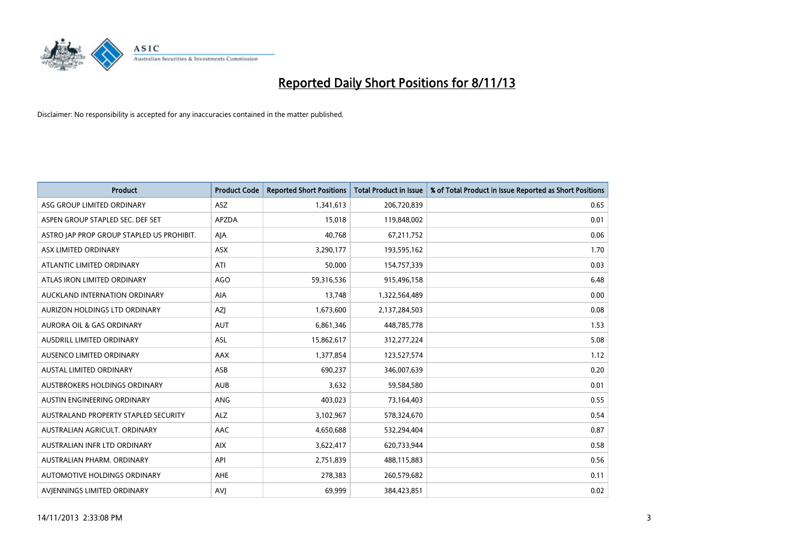

| <b>Product</b>                            | <b>Product Code</b> | <b>Reported Short Positions</b> | <b>Total Product in Issue</b> | % of Total Product in Issue Reported as Short Positions |
|-------------------------------------------|---------------------|---------------------------------|-------------------------------|---------------------------------------------------------|
| ASG GROUP LIMITED ORDINARY                | ASZ                 | 1,341,613                       | 206,720,839                   | 0.65                                                    |
| ASPEN GROUP STAPLED SEC. DEF SET          | <b>APZDA</b>        | 15,018                          | 119,848,002                   | 0.01                                                    |
| ASTRO JAP PROP GROUP STAPLED US PROHIBIT. | AJA                 | 40,768                          | 67,211,752                    | 0.06                                                    |
| ASX LIMITED ORDINARY                      | ASX                 | 3,290,177                       | 193,595,162                   | 1.70                                                    |
| ATLANTIC LIMITED ORDINARY                 | ATI                 | 50,000                          | 154,757,339                   | 0.03                                                    |
| ATLAS IRON LIMITED ORDINARY               | <b>AGO</b>          | 59,316,536                      | 915,496,158                   | 6.48                                                    |
| AUCKLAND INTERNATION ORDINARY             | AIA                 | 13,748                          | 1,322,564,489                 | 0.00                                                    |
| AURIZON HOLDINGS LTD ORDINARY             | AZJ                 | 1,673,600                       | 2,137,284,503                 | 0.08                                                    |
| <b>AURORA OIL &amp; GAS ORDINARY</b>      | <b>AUT</b>          | 6,861,346                       | 448,785,778                   | 1.53                                                    |
| AUSDRILL LIMITED ORDINARY                 | <b>ASL</b>          | 15,862,617                      | 312,277,224                   | 5.08                                                    |
| AUSENCO LIMITED ORDINARY                  | AAX                 | 1,377,854                       | 123,527,574                   | 1.12                                                    |
| AUSTAL LIMITED ORDINARY                   | ASB                 | 690,237                         | 346,007,639                   | 0.20                                                    |
| <b>AUSTBROKERS HOLDINGS ORDINARY</b>      | <b>AUB</b>          | 3,632                           | 59,584,580                    | 0.01                                                    |
| AUSTIN ENGINEERING ORDINARY               | <b>ANG</b>          | 403,023                         | 73,164,403                    | 0.55                                                    |
| AUSTRALAND PROPERTY STAPLED SECURITY      | <b>ALZ</b>          | 3,102,967                       | 578,324,670                   | 0.54                                                    |
| AUSTRALIAN AGRICULT. ORDINARY             | AAC                 | 4,650,688                       | 532,294,404                   | 0.87                                                    |
| AUSTRALIAN INFR LTD ORDINARY              | <b>AIX</b>          | 3,622,417                       | 620,733,944                   | 0.58                                                    |
| AUSTRALIAN PHARM, ORDINARY                | API                 | 2,751,839                       | 488,115,883                   | 0.56                                                    |
| AUTOMOTIVE HOLDINGS ORDINARY              | <b>AHE</b>          | 278,383                         | 260,579,682                   | 0.11                                                    |
| AVJENNINGS LIMITED ORDINARY               | <b>AVJ</b>          | 69,999                          | 384,423,851                   | 0.02                                                    |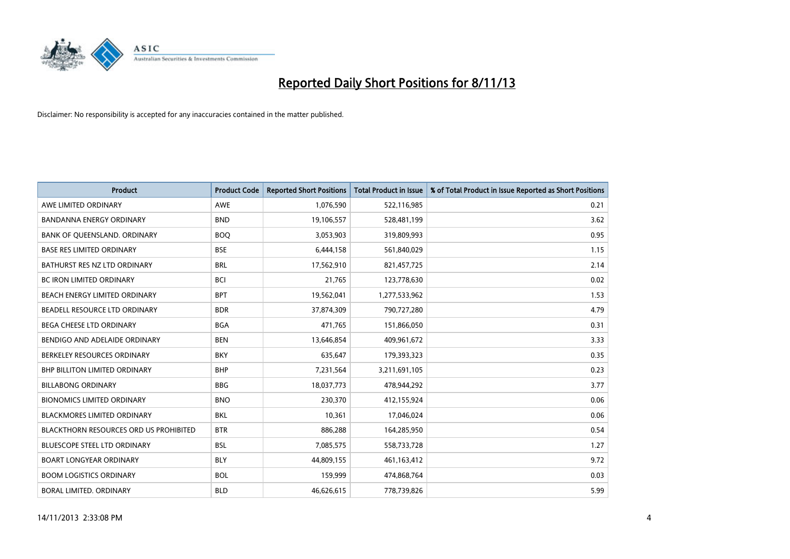

| <b>Product</b>                                | <b>Product Code</b> | <b>Reported Short Positions</b> | <b>Total Product in Issue</b> | % of Total Product in Issue Reported as Short Positions |
|-----------------------------------------------|---------------------|---------------------------------|-------------------------------|---------------------------------------------------------|
| AWE LIMITED ORDINARY                          | <b>AWE</b>          | 1,076,590                       | 522,116,985                   | 0.21                                                    |
| <b>BANDANNA ENERGY ORDINARY</b>               | <b>BND</b>          | 19,106,557                      | 528,481,199                   | 3.62                                                    |
| BANK OF QUEENSLAND. ORDINARY                  | <b>BOQ</b>          | 3,053,903                       | 319,809,993                   | 0.95                                                    |
| <b>BASE RES LIMITED ORDINARY</b>              | <b>BSE</b>          | 6,444,158                       | 561,840,029                   | 1.15                                                    |
| BATHURST RES NZ LTD ORDINARY                  | <b>BRL</b>          | 17,562,910                      | 821,457,725                   | 2.14                                                    |
| <b>BC IRON LIMITED ORDINARY</b>               | <b>BCI</b>          | 21,765                          | 123,778,630                   | 0.02                                                    |
| BEACH ENERGY LIMITED ORDINARY                 | <b>BPT</b>          | 19,562,041                      | 1,277,533,962                 | 1.53                                                    |
| BEADELL RESOURCE LTD ORDINARY                 | <b>BDR</b>          | 37,874,309                      | 790,727,280                   | 4.79                                                    |
| BEGA CHEESE LTD ORDINARY                      | <b>BGA</b>          | 471,765                         | 151,866,050                   | 0.31                                                    |
| BENDIGO AND ADELAIDE ORDINARY                 | <b>BEN</b>          | 13,646,854                      | 409,961,672                   | 3.33                                                    |
| BERKELEY RESOURCES ORDINARY                   | <b>BKY</b>          | 635,647                         | 179,393,323                   | 0.35                                                    |
| <b>BHP BILLITON LIMITED ORDINARY</b>          | <b>BHP</b>          | 7,231,564                       | 3,211,691,105                 | 0.23                                                    |
| <b>BILLABONG ORDINARY</b>                     | <b>BBG</b>          | 18,037,773                      | 478,944,292                   | 3.77                                                    |
| <b>BIONOMICS LIMITED ORDINARY</b>             | <b>BNO</b>          | 230,370                         | 412,155,924                   | 0.06                                                    |
| <b>BLACKMORES LIMITED ORDINARY</b>            | <b>BKL</b>          | 10,361                          | 17,046,024                    | 0.06                                                    |
| <b>BLACKTHORN RESOURCES ORD US PROHIBITED</b> | <b>BTR</b>          | 886,288                         | 164,285,950                   | 0.54                                                    |
| <b>BLUESCOPE STEEL LTD ORDINARY</b>           | <b>BSL</b>          | 7,085,575                       | 558,733,728                   | 1.27                                                    |
| BOART LONGYEAR ORDINARY                       | <b>BLY</b>          | 44,809,155                      | 461,163,412                   | 9.72                                                    |
| <b>BOOM LOGISTICS ORDINARY</b>                | <b>BOL</b>          | 159,999                         | 474,868,764                   | 0.03                                                    |
| BORAL LIMITED, ORDINARY                       | <b>BLD</b>          | 46,626,615                      | 778,739,826                   | 5.99                                                    |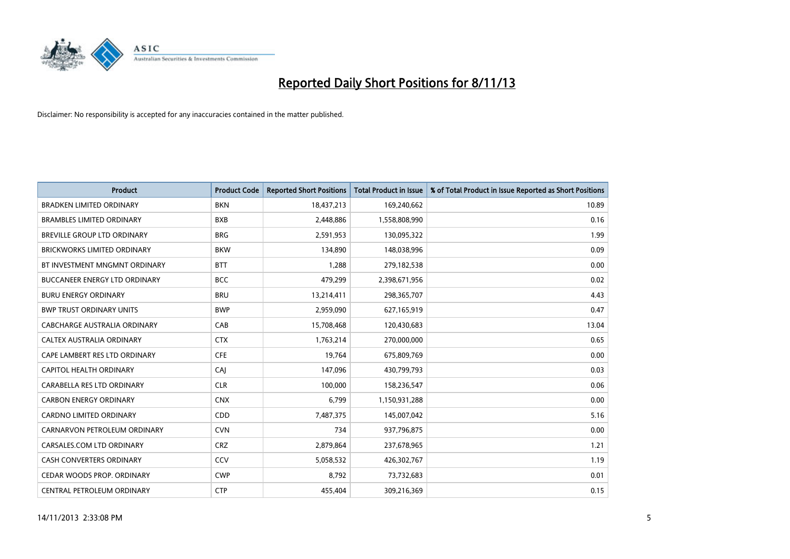

| <b>Product</b>                       | <b>Product Code</b> | <b>Reported Short Positions</b> | <b>Total Product in Issue</b> | % of Total Product in Issue Reported as Short Positions |
|--------------------------------------|---------------------|---------------------------------|-------------------------------|---------------------------------------------------------|
| <b>BRADKEN LIMITED ORDINARY</b>      | <b>BKN</b>          | 18,437,213                      | 169,240,662                   | 10.89                                                   |
| <b>BRAMBLES LIMITED ORDINARY</b>     | <b>BXB</b>          | 2,448,886                       | 1,558,808,990                 | 0.16                                                    |
| BREVILLE GROUP LTD ORDINARY          | <b>BRG</b>          | 2,591,953                       | 130,095,322                   | 1.99                                                    |
| <b>BRICKWORKS LIMITED ORDINARY</b>   | <b>BKW</b>          | 134,890                         | 148,038,996                   | 0.09                                                    |
| BT INVESTMENT MNGMNT ORDINARY        | <b>BTT</b>          | 1,288                           | 279,182,538                   | 0.00                                                    |
| <b>BUCCANEER ENERGY LTD ORDINARY</b> | <b>BCC</b>          | 479,299                         | 2,398,671,956                 | 0.02                                                    |
| <b>BURU ENERGY ORDINARY</b>          | <b>BRU</b>          | 13,214,411                      | 298,365,707                   | 4.43                                                    |
| <b>BWP TRUST ORDINARY UNITS</b>      | <b>BWP</b>          | 2,959,090                       | 627,165,919                   | 0.47                                                    |
| CABCHARGE AUSTRALIA ORDINARY         | CAB                 | 15,708,468                      | 120,430,683                   | 13.04                                                   |
| CALTEX AUSTRALIA ORDINARY            | <b>CTX</b>          | 1,763,214                       | 270,000,000                   | 0.65                                                    |
| CAPE LAMBERT RES LTD ORDINARY        | <b>CFE</b>          | 19,764                          | 675,809,769                   | 0.00                                                    |
| CAPITOL HEALTH ORDINARY              | <b>CAJ</b>          | 147,096                         | 430,799,793                   | 0.03                                                    |
| CARABELLA RES LTD ORDINARY           | <b>CLR</b>          | 100,000                         | 158,236,547                   | 0.06                                                    |
| <b>CARBON ENERGY ORDINARY</b>        | <b>CNX</b>          | 6,799                           | 1,150,931,288                 | 0.00                                                    |
| <b>CARDNO LIMITED ORDINARY</b>       | CDD                 | 7,487,375                       | 145,007,042                   | 5.16                                                    |
| CARNARVON PETROLEUM ORDINARY         | <b>CVN</b>          | 734                             | 937,796,875                   | 0.00                                                    |
| CARSALES.COM LTD ORDINARY            | <b>CRZ</b>          | 2,879,864                       | 237,678,965                   | 1.21                                                    |
| CASH CONVERTERS ORDINARY             | CCV                 | 5,058,532                       | 426,302,767                   | 1.19                                                    |
| CEDAR WOODS PROP. ORDINARY           | <b>CWP</b>          | 8,792                           | 73,732,683                    | 0.01                                                    |
| CENTRAL PETROLEUM ORDINARY           | <b>CTP</b>          | 455,404                         | 309,216,369                   | 0.15                                                    |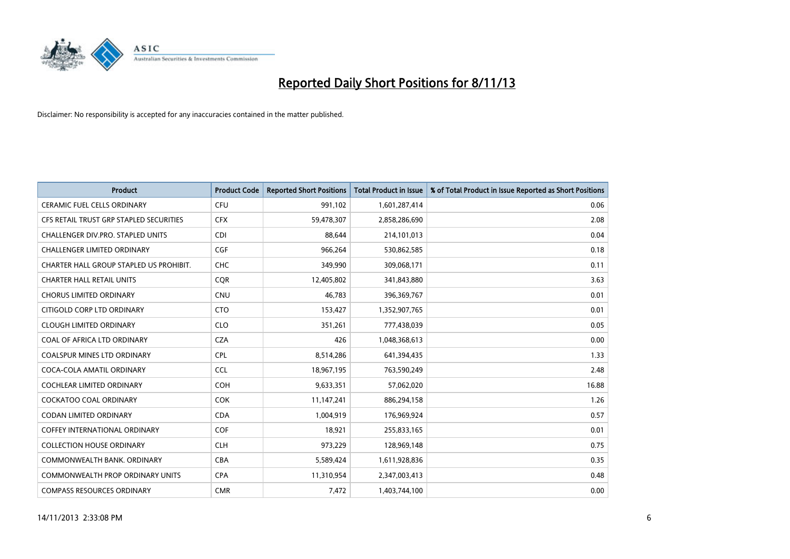

| <b>Product</b>                          | <b>Product Code</b> | <b>Reported Short Positions</b> | <b>Total Product in Issue</b> | % of Total Product in Issue Reported as Short Positions |
|-----------------------------------------|---------------------|---------------------------------|-------------------------------|---------------------------------------------------------|
| <b>CERAMIC FUEL CELLS ORDINARY</b>      | <b>CFU</b>          | 991,102                         | 1,601,287,414                 | 0.06                                                    |
| CFS RETAIL TRUST GRP STAPLED SECURITIES | <b>CFX</b>          | 59,478,307                      | 2,858,286,690                 | 2.08                                                    |
| CHALLENGER DIV.PRO. STAPLED UNITS       | <b>CDI</b>          | 88,644                          | 214,101,013                   | 0.04                                                    |
| <b>CHALLENGER LIMITED ORDINARY</b>      | <b>CGF</b>          | 966,264                         | 530,862,585                   | 0.18                                                    |
| CHARTER HALL GROUP STAPLED US PROHIBIT. | <b>CHC</b>          | 349,990                         | 309,068,171                   | 0.11                                                    |
| <b>CHARTER HALL RETAIL UNITS</b>        | CQR                 | 12,405,802                      | 341,843,880                   | 3.63                                                    |
| <b>CHORUS LIMITED ORDINARY</b>          | <b>CNU</b>          | 46.783                          | 396,369,767                   | 0.01                                                    |
| CITIGOLD CORP LTD ORDINARY              | <b>CTO</b>          | 153,427                         | 1,352,907,765                 | 0.01                                                    |
| <b>CLOUGH LIMITED ORDINARY</b>          | <b>CLO</b>          | 351,261                         | 777,438,039                   | 0.05                                                    |
| COAL OF AFRICA LTD ORDINARY             | <b>CZA</b>          | 426                             | 1,048,368,613                 | 0.00                                                    |
| COALSPUR MINES LTD ORDINARY             | <b>CPL</b>          | 8,514,286                       | 641,394,435                   | 1.33                                                    |
| COCA-COLA AMATIL ORDINARY               | <b>CCL</b>          | 18,967,195                      | 763,590,249                   | 2.48                                                    |
| COCHLEAR LIMITED ORDINARY               | <b>COH</b>          | 9,633,351                       | 57,062,020                    | 16.88                                                   |
| <b>COCKATOO COAL ORDINARY</b>           | <b>COK</b>          | 11,147,241                      | 886,294,158                   | 1.26                                                    |
| <b>CODAN LIMITED ORDINARY</b>           | <b>CDA</b>          | 1,004,919                       | 176,969,924                   | 0.57                                                    |
| <b>COFFEY INTERNATIONAL ORDINARY</b>    | <b>COF</b>          | 18,921                          | 255,833,165                   | 0.01                                                    |
| <b>COLLECTION HOUSE ORDINARY</b>        | <b>CLH</b>          | 973,229                         | 128,969,148                   | 0.75                                                    |
| COMMONWEALTH BANK, ORDINARY             | <b>CBA</b>          | 5,589,424                       | 1,611,928,836                 | 0.35                                                    |
| <b>COMMONWEALTH PROP ORDINARY UNITS</b> | <b>CPA</b>          | 11,310,954                      | 2,347,003,413                 | 0.48                                                    |
| <b>COMPASS RESOURCES ORDINARY</b>       | <b>CMR</b>          | 7,472                           | 1,403,744,100                 | 0.00                                                    |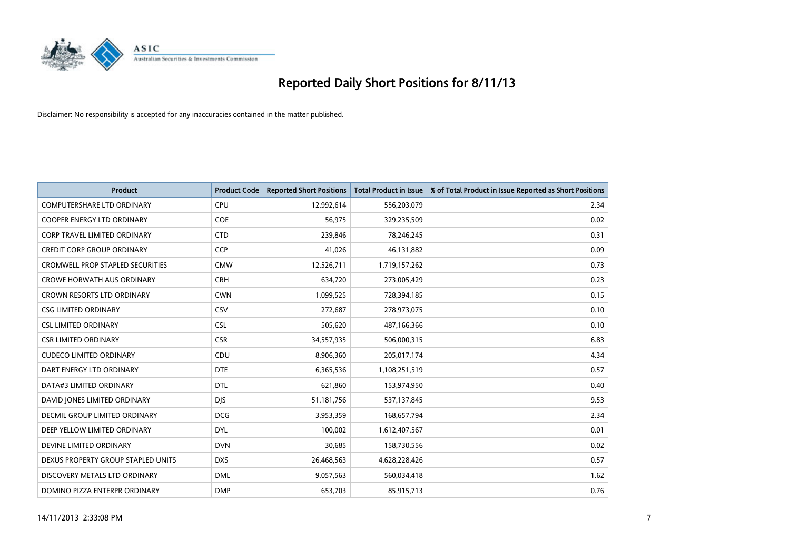

| <b>Product</b>                          | <b>Product Code</b> | <b>Reported Short Positions</b> | <b>Total Product in Issue</b> | % of Total Product in Issue Reported as Short Positions |
|-----------------------------------------|---------------------|---------------------------------|-------------------------------|---------------------------------------------------------|
| <b>COMPUTERSHARE LTD ORDINARY</b>       | <b>CPU</b>          | 12,992,614                      | 556,203,079                   | 2.34                                                    |
| COOPER ENERGY LTD ORDINARY              | <b>COE</b>          | 56,975                          | 329,235,509                   | 0.02                                                    |
| <b>CORP TRAVEL LIMITED ORDINARY</b>     | <b>CTD</b>          | 239,846                         | 78,246,245                    | 0.31                                                    |
| <b>CREDIT CORP GROUP ORDINARY</b>       | <b>CCP</b>          | 41,026                          | 46,131,882                    | 0.09                                                    |
| <b>CROMWELL PROP STAPLED SECURITIES</b> | <b>CMW</b>          | 12,526,711                      | 1,719,157,262                 | 0.73                                                    |
| <b>CROWE HORWATH AUS ORDINARY</b>       | <b>CRH</b>          | 634,720                         | 273,005,429                   | 0.23                                                    |
| CROWN RESORTS LTD ORDINARY              | <b>CWN</b>          | 1,099,525                       | 728,394,185                   | 0.15                                                    |
| <b>CSG LIMITED ORDINARY</b>             | CSV                 | 272,687                         | 278,973,075                   | 0.10                                                    |
| <b>CSL LIMITED ORDINARY</b>             | <b>CSL</b>          | 505,620                         | 487,166,366                   | 0.10                                                    |
| <b>CSR LIMITED ORDINARY</b>             | <b>CSR</b>          | 34,557,935                      | 506,000,315                   | 6.83                                                    |
| <b>CUDECO LIMITED ORDINARY</b>          | CDU                 | 8,906,360                       | 205,017,174                   | 4.34                                                    |
| DART ENERGY LTD ORDINARY                | <b>DTE</b>          | 6,365,536                       | 1,108,251,519                 | 0.57                                                    |
| DATA#3 LIMITED ORDINARY                 | <b>DTL</b>          | 621,860                         | 153,974,950                   | 0.40                                                    |
| DAVID JONES LIMITED ORDINARY            | <b>DJS</b>          | 51,181,756                      | 537,137,845                   | 9.53                                                    |
| <b>DECMIL GROUP LIMITED ORDINARY</b>    | <b>DCG</b>          | 3,953,359                       | 168,657,794                   | 2.34                                                    |
| DEEP YELLOW LIMITED ORDINARY            | DYL                 | 100,002                         | 1,612,407,567                 | 0.01                                                    |
| DEVINE LIMITED ORDINARY                 | <b>DVN</b>          | 30,685                          | 158,730,556                   | 0.02                                                    |
| DEXUS PROPERTY GROUP STAPLED UNITS      | <b>DXS</b>          | 26,468,563                      | 4,628,228,426                 | 0.57                                                    |
| DISCOVERY METALS LTD ORDINARY           | <b>DML</b>          | 9,057,563                       | 560,034,418                   | 1.62                                                    |
| DOMINO PIZZA ENTERPR ORDINARY           | <b>DMP</b>          | 653,703                         | 85,915,713                    | 0.76                                                    |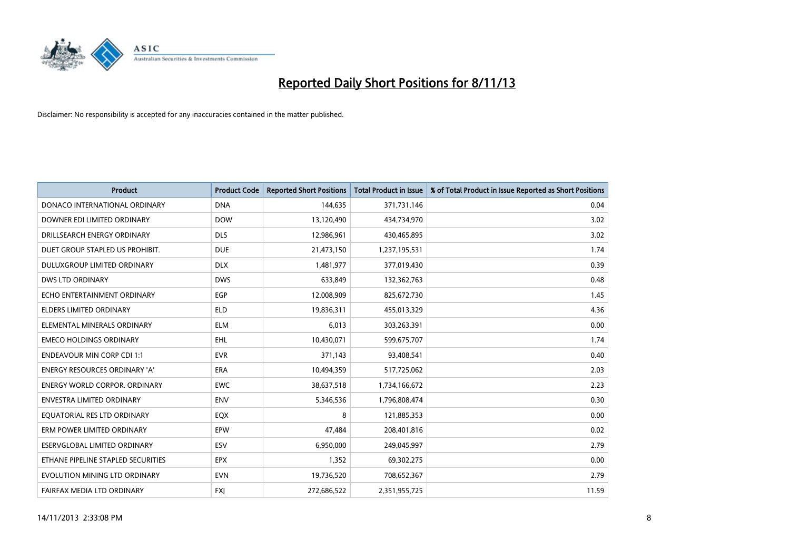

| <b>Product</b>                       | <b>Product Code</b> | <b>Reported Short Positions</b> | <b>Total Product in Issue</b> | % of Total Product in Issue Reported as Short Positions |
|--------------------------------------|---------------------|---------------------------------|-------------------------------|---------------------------------------------------------|
| DONACO INTERNATIONAL ORDINARY        | <b>DNA</b>          | 144,635                         | 371,731,146                   | 0.04                                                    |
| DOWNER EDI LIMITED ORDINARY          | <b>DOW</b>          | 13,120,490                      | 434,734,970                   | 3.02                                                    |
| DRILLSEARCH ENERGY ORDINARY          | <b>DLS</b>          | 12,986,961                      | 430,465,895                   | 3.02                                                    |
| DUET GROUP STAPLED US PROHIBIT.      | <b>DUE</b>          | 21,473,150                      | 1,237,195,531                 | 1.74                                                    |
| DULUXGROUP LIMITED ORDINARY          | <b>DLX</b>          | 1,481,977                       | 377,019,430                   | 0.39                                                    |
| <b>DWS LTD ORDINARY</b>              | <b>DWS</b>          | 633,849                         | 132,362,763                   | 0.48                                                    |
| ECHO ENTERTAINMENT ORDINARY          | <b>EGP</b>          | 12,008,909                      | 825,672,730                   | 1.45                                                    |
| <b>ELDERS LIMITED ORDINARY</b>       | <b>ELD</b>          | 19,836,311                      | 455,013,329                   | 4.36                                                    |
| ELEMENTAL MINERALS ORDINARY          | <b>ELM</b>          | 6,013                           | 303,263,391                   | 0.00                                                    |
| <b>EMECO HOLDINGS ORDINARY</b>       | <b>EHL</b>          | 10,430,071                      | 599,675,707                   | 1.74                                                    |
| <b>ENDEAVOUR MIN CORP CDI 1:1</b>    | <b>EVR</b>          | 371,143                         | 93,408,541                    | 0.40                                                    |
| <b>ENERGY RESOURCES ORDINARY 'A'</b> | <b>ERA</b>          | 10,494,359                      | 517,725,062                   | 2.03                                                    |
| ENERGY WORLD CORPOR. ORDINARY        | <b>EWC</b>          | 38,637,518                      | 1,734,166,672                 | 2.23                                                    |
| ENVESTRA LIMITED ORDINARY            | <b>ENV</b>          | 5,346,536                       | 1,796,808,474                 | 0.30                                                    |
| EQUATORIAL RES LTD ORDINARY          | EQX                 | 8                               | 121,885,353                   | 0.00                                                    |
| ERM POWER LIMITED ORDINARY           | EPW                 | 47,484                          | 208,401,816                   | 0.02                                                    |
| ESERVGLOBAL LIMITED ORDINARY         | ESV                 | 6,950,000                       | 249,045,997                   | 2.79                                                    |
| ETHANE PIPELINE STAPLED SECURITIES   | <b>EPX</b>          | 1,352                           | 69,302,275                    | 0.00                                                    |
| EVOLUTION MINING LTD ORDINARY        | <b>EVN</b>          | 19,736,520                      | 708,652,367                   | 2.79                                                    |
| FAIRFAX MEDIA LTD ORDINARY           | <b>FXJ</b>          | 272,686,522                     | 2,351,955,725                 | 11.59                                                   |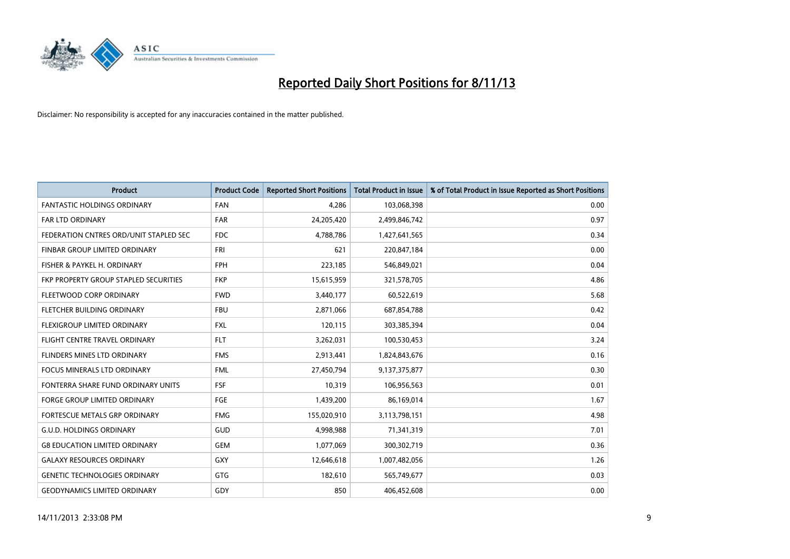

| <b>Product</b>                         | <b>Product Code</b> | <b>Reported Short Positions</b> | <b>Total Product in Issue</b> | % of Total Product in Issue Reported as Short Positions |
|----------------------------------------|---------------------|---------------------------------|-------------------------------|---------------------------------------------------------|
| <b>FANTASTIC HOLDINGS ORDINARY</b>     | <b>FAN</b>          | 4,286                           | 103,068,398                   | 0.00                                                    |
| FAR LTD ORDINARY                       | <b>FAR</b>          | 24,205,420                      | 2,499,846,742                 | 0.97                                                    |
| FEDERATION CNTRES ORD/UNIT STAPLED SEC | <b>FDC</b>          | 4,788,786                       | 1,427,641,565                 | 0.34                                                    |
| FINBAR GROUP LIMITED ORDINARY          | <b>FRI</b>          | 621                             | 220,847,184                   | 0.00                                                    |
| FISHER & PAYKEL H. ORDINARY            | <b>FPH</b>          | 223,185                         | 546,849,021                   | 0.04                                                    |
| FKP PROPERTY GROUP STAPLED SECURITIES  | <b>FKP</b>          | 15,615,959                      | 321,578,705                   | 4.86                                                    |
| FLEETWOOD CORP ORDINARY                | <b>FWD</b>          | 3,440,177                       | 60,522,619                    | 5.68                                                    |
| FLETCHER BUILDING ORDINARY             | <b>FBU</b>          | 2,871,066                       | 687,854,788                   | 0.42                                                    |
| FLEXIGROUP LIMITED ORDINARY            | <b>FXL</b>          | 120,115                         | 303,385,394                   | 0.04                                                    |
| FLIGHT CENTRE TRAVEL ORDINARY          | <b>FLT</b>          | 3,262,031                       | 100,530,453                   | 3.24                                                    |
| FLINDERS MINES LTD ORDINARY            | <b>FMS</b>          | 2,913,441                       | 1,824,843,676                 | 0.16                                                    |
| FOCUS MINERALS LTD ORDINARY            | <b>FML</b>          | 27,450,794                      | 9,137,375,877                 | 0.30                                                    |
| FONTERRA SHARE FUND ORDINARY UNITS     | <b>FSF</b>          | 10,319                          | 106,956,563                   | 0.01                                                    |
| <b>FORGE GROUP LIMITED ORDINARY</b>    | FGE                 | 1,439,200                       | 86,169,014                    | 1.67                                                    |
| FORTESCUE METALS GRP ORDINARY          | <b>FMG</b>          | 155,020,910                     | 3,113,798,151                 | 4.98                                                    |
| <b>G.U.D. HOLDINGS ORDINARY</b>        | GUD                 | 4,998,988                       | 71,341,319                    | 7.01                                                    |
| <b>G8 EDUCATION LIMITED ORDINARY</b>   | <b>GEM</b>          | 1,077,069                       | 300,302,719                   | 0.36                                                    |
| <b>GALAXY RESOURCES ORDINARY</b>       | GXY                 | 12,646,618                      | 1,007,482,056                 | 1.26                                                    |
| <b>GENETIC TECHNOLOGIES ORDINARY</b>   | GTG                 | 182,610                         | 565,749,677                   | 0.03                                                    |
| <b>GEODYNAMICS LIMITED ORDINARY</b>    | GDY                 | 850                             | 406,452,608                   | 0.00                                                    |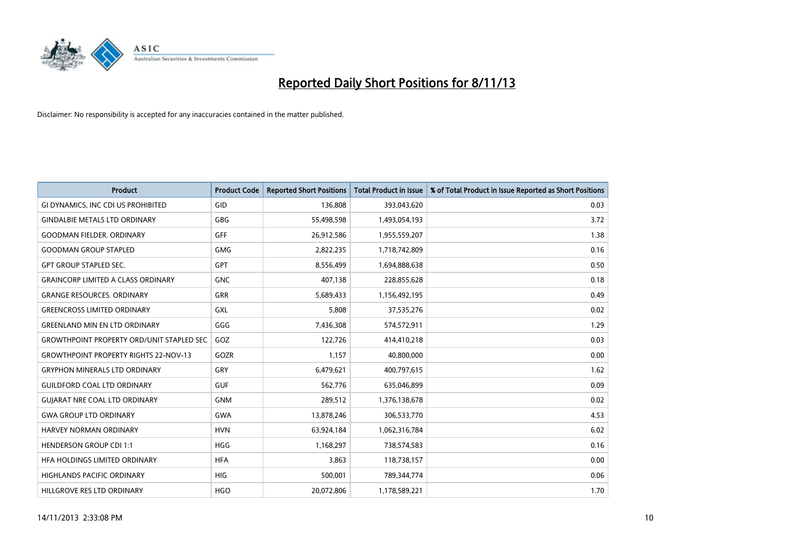

| <b>Product</b>                                   | <b>Product Code</b> | <b>Reported Short Positions</b> | <b>Total Product in Issue</b> | % of Total Product in Issue Reported as Short Positions |
|--------------------------------------------------|---------------------|---------------------------------|-------------------------------|---------------------------------------------------------|
| GI DYNAMICS, INC CDI US PROHIBITED               | GID                 | 136,808                         | 393,043,620                   | 0.03                                                    |
| <b>GINDALBIE METALS LTD ORDINARY</b>             | <b>GBG</b>          | 55,498,598                      | 1,493,054,193                 | 3.72                                                    |
| <b>GOODMAN FIELDER, ORDINARY</b>                 | <b>GFF</b>          | 26,912,586                      | 1,955,559,207                 | 1.38                                                    |
| <b>GOODMAN GROUP STAPLED</b>                     | <b>GMG</b>          | 2,822,235                       | 1,718,742,809                 | 0.16                                                    |
| <b>GPT GROUP STAPLED SEC.</b>                    | <b>GPT</b>          | 8,556,499                       | 1,694,888,638                 | 0.50                                                    |
| <b>GRAINCORP LIMITED A CLASS ORDINARY</b>        | <b>GNC</b>          | 407,138                         | 228,855,628                   | 0.18                                                    |
| <b>GRANGE RESOURCES. ORDINARY</b>                | GRR                 | 5,689,433                       | 1,156,492,195                 | 0.49                                                    |
| <b>GREENCROSS LIMITED ORDINARY</b>               | GXL                 | 5,808                           | 37,535,276                    | 0.02                                                    |
| <b>GREENLAND MIN EN LTD ORDINARY</b>             | GGG                 | 7,436,308                       | 574,572,911                   | 1.29                                                    |
| <b>GROWTHPOINT PROPERTY ORD/UNIT STAPLED SEC</b> | GOZ                 | 122,726                         | 414,410,218                   | 0.03                                                    |
| <b>GROWTHPOINT PROPERTY RIGHTS 22-NOV-13</b>     | GOZR                | 1,157                           | 40,800,000                    | 0.00                                                    |
| <b>GRYPHON MINERALS LTD ORDINARY</b>             | GRY                 | 6,479,621                       | 400,797,615                   | 1.62                                                    |
| <b>GUILDFORD COAL LTD ORDINARY</b>               | <b>GUF</b>          | 562,776                         | 635,046,899                   | 0.09                                                    |
| <b>GUIARAT NRE COAL LTD ORDINARY</b>             | <b>GNM</b>          | 289,512                         | 1,376,138,678                 | 0.02                                                    |
| <b>GWA GROUP LTD ORDINARY</b>                    | <b>GWA</b>          | 13,878,246                      | 306,533,770                   | 4.53                                                    |
| HARVEY NORMAN ORDINARY                           | <b>HVN</b>          | 63,924,184                      | 1,062,316,784                 | 6.02                                                    |
| <b>HENDERSON GROUP CDI 1:1</b>                   | <b>HGG</b>          | 1,168,297                       | 738,574,583                   | 0.16                                                    |
| HFA HOLDINGS LIMITED ORDINARY                    | <b>HFA</b>          | 3,863                           | 118,738,157                   | 0.00                                                    |
| <b>HIGHLANDS PACIFIC ORDINARY</b>                | <b>HIG</b>          | 500,001                         | 789,344,774                   | 0.06                                                    |
| HILLGROVE RES LTD ORDINARY                       | <b>HGO</b>          | 20,072,806                      | 1,178,589,221                 | 1.70                                                    |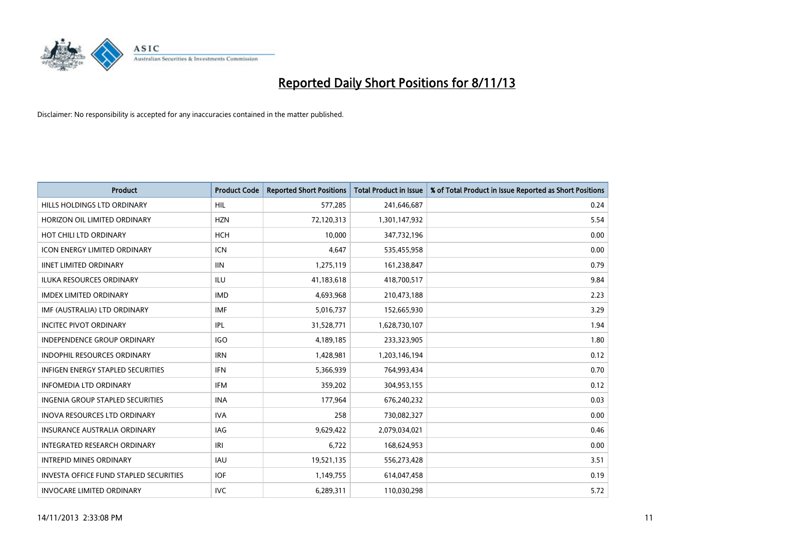

| <b>Product</b>                                | <b>Product Code</b> | <b>Reported Short Positions</b> | <b>Total Product in Issue</b> | % of Total Product in Issue Reported as Short Positions |
|-----------------------------------------------|---------------------|---------------------------------|-------------------------------|---------------------------------------------------------|
| HILLS HOLDINGS LTD ORDINARY                   | HIL                 | 577,285                         | 241,646,687                   | 0.24                                                    |
| HORIZON OIL LIMITED ORDINARY                  | <b>HZN</b>          | 72,120,313                      | 1,301,147,932                 | 5.54                                                    |
| HOT CHILI LTD ORDINARY                        | HCH                 | 10,000                          | 347,732,196                   | 0.00                                                    |
| <b>ICON ENERGY LIMITED ORDINARY</b>           | <b>ICN</b>          | 4,647                           | 535,455,958                   | 0.00                                                    |
| <b>IINET LIMITED ORDINARY</b>                 | <b>IIN</b>          | 1,275,119                       | 161,238,847                   | 0.79                                                    |
| <b>ILUKA RESOURCES ORDINARY</b>               | <b>ILU</b>          | 41,183,618                      | 418,700,517                   | 9.84                                                    |
| <b>IMDEX LIMITED ORDINARY</b>                 | <b>IMD</b>          | 4,693,968                       | 210,473,188                   | 2.23                                                    |
| IMF (AUSTRALIA) LTD ORDINARY                  | <b>IMF</b>          | 5,016,737                       | 152,665,930                   | 3.29                                                    |
| <b>INCITEC PIVOT ORDINARY</b>                 | IPL                 | 31,528,771                      | 1,628,730,107                 | 1.94                                                    |
| <b>INDEPENDENCE GROUP ORDINARY</b>            | <b>IGO</b>          | 4,189,185                       | 233,323,905                   | 1.80                                                    |
| INDOPHIL RESOURCES ORDINARY                   | <b>IRN</b>          | 1,428,981                       | 1,203,146,194                 | 0.12                                                    |
| <b>INFIGEN ENERGY STAPLED SECURITIES</b>      | <b>IFN</b>          | 5,366,939                       | 764,993,434                   | 0.70                                                    |
| <b>INFOMEDIA LTD ORDINARY</b>                 | <b>IFM</b>          | 359,202                         | 304,953,155                   | 0.12                                                    |
| INGENIA GROUP STAPLED SECURITIES              | <b>INA</b>          | 177,964                         | 676,240,232                   | 0.03                                                    |
| <b>INOVA RESOURCES LTD ORDINARY</b>           | <b>IVA</b>          | 258                             | 730,082,327                   | 0.00                                                    |
| <b>INSURANCE AUSTRALIA ORDINARY</b>           | IAG                 | 9,629,422                       | 2,079,034,021                 | 0.46                                                    |
| INTEGRATED RESEARCH ORDINARY                  | IRI                 | 6,722                           | 168,624,953                   | 0.00                                                    |
| <b>INTREPID MINES ORDINARY</b>                | <b>IAU</b>          | 19,521,135                      | 556,273,428                   | 3.51                                                    |
| <b>INVESTA OFFICE FUND STAPLED SECURITIES</b> | <b>IOF</b>          | 1,149,755                       | 614,047,458                   | 0.19                                                    |
| <b>INVOCARE LIMITED ORDINARY</b>              | IVC.                | 6,289,311                       | 110,030,298                   | 5.72                                                    |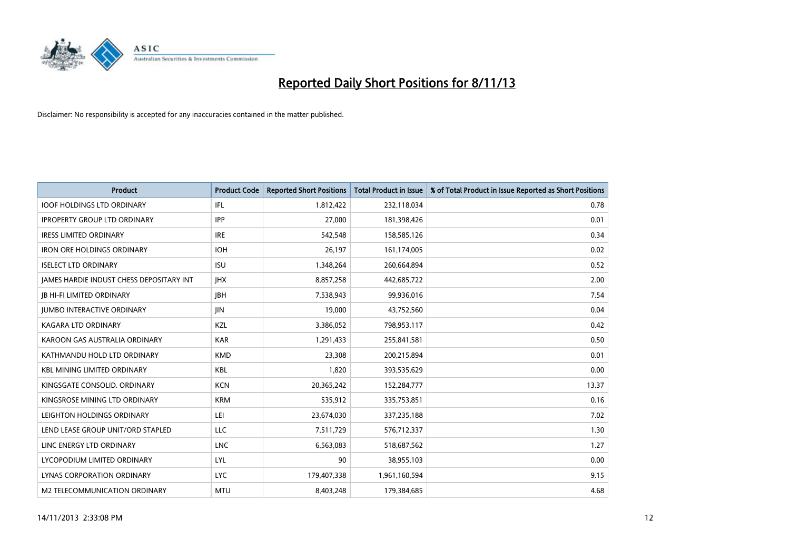

| <b>Product</b>                           | <b>Product Code</b> | <b>Reported Short Positions</b> | <b>Total Product in Issue</b> | % of Total Product in Issue Reported as Short Positions |
|------------------------------------------|---------------------|---------------------------------|-------------------------------|---------------------------------------------------------|
| <b>IOOF HOLDINGS LTD ORDINARY</b>        | IFL                 | 1,812,422                       | 232,118,034                   | 0.78                                                    |
| <b>IPROPERTY GROUP LTD ORDINARY</b>      | <b>IPP</b>          | 27,000                          | 181,398,426                   | 0.01                                                    |
| <b>IRESS LIMITED ORDINARY</b>            | <b>IRE</b>          | 542,548                         | 158,585,126                   | 0.34                                                    |
| IRON ORE HOLDINGS ORDINARY               | <b>IOH</b>          | 26,197                          | 161,174,005                   | 0.02                                                    |
| <b>ISELECT LTD ORDINARY</b>              | <b>ISU</b>          | 1,348,264                       | 260,664,894                   | 0.52                                                    |
| JAMES HARDIE INDUST CHESS DEPOSITARY INT | <b>IHX</b>          | 8,857,258                       | 442,685,722                   | 2.00                                                    |
| <b>JB HI-FI LIMITED ORDINARY</b>         | <b>IBH</b>          | 7,538,943                       | 99,936,016                    | 7.54                                                    |
| <b>JUMBO INTERACTIVE ORDINARY</b>        | <b>JIN</b>          | 19,000                          | 43,752,560                    | 0.04                                                    |
| <b>KAGARA LTD ORDINARY</b>               | KZL                 | 3,386,052                       | 798,953,117                   | 0.42                                                    |
| KAROON GAS AUSTRALIA ORDINARY            | <b>KAR</b>          | 1,291,433                       | 255,841,581                   | 0.50                                                    |
| KATHMANDU HOLD LTD ORDINARY              | <b>KMD</b>          | 23,308                          | 200,215,894                   | 0.01                                                    |
| <b>KBL MINING LIMITED ORDINARY</b>       | <b>KBL</b>          | 1,820                           | 393,535,629                   | 0.00                                                    |
| KINGSGATE CONSOLID. ORDINARY             | <b>KCN</b>          | 20,365,242                      | 152,284,777                   | 13.37                                                   |
| KINGSROSE MINING LTD ORDINARY            | <b>KRM</b>          | 535,912                         | 335,753,851                   | 0.16                                                    |
| LEIGHTON HOLDINGS ORDINARY               | LEI                 | 23,674,030                      | 337,235,188                   | 7.02                                                    |
| LEND LEASE GROUP UNIT/ORD STAPLED        | LLC                 | 7,511,729                       | 576,712,337                   | 1.30                                                    |
| LINC ENERGY LTD ORDINARY                 | <b>LNC</b>          | 6,563,083                       | 518,687,562                   | 1.27                                                    |
| LYCOPODIUM LIMITED ORDINARY              | <b>LYL</b>          | 90                              | 38,955,103                    | 0.00                                                    |
| LYNAS CORPORATION ORDINARY               | <b>LYC</b>          | 179,407,338                     | 1,961,160,594                 | 9.15                                                    |
| M2 TELECOMMUNICATION ORDINARY            | <b>MTU</b>          | 8,403,248                       | 179,384,685                   | 4.68                                                    |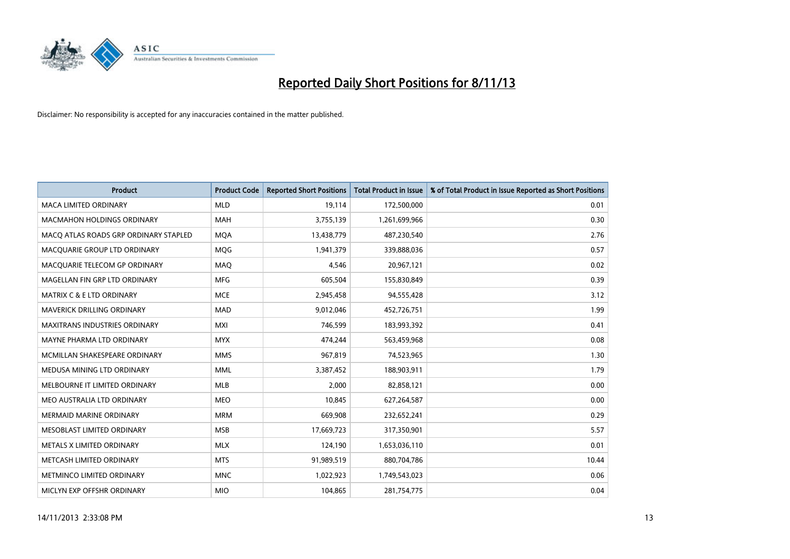

| <b>Product</b>                        | <b>Product Code</b> | <b>Reported Short Positions</b> | <b>Total Product in Issue</b> | % of Total Product in Issue Reported as Short Positions |
|---------------------------------------|---------------------|---------------------------------|-------------------------------|---------------------------------------------------------|
| <b>MACA LIMITED ORDINARY</b>          | <b>MLD</b>          | 19,114                          | 172,500,000                   | 0.01                                                    |
| <b>MACMAHON HOLDINGS ORDINARY</b>     | MAH                 | 3,755,139                       | 1,261,699,966                 | 0.30                                                    |
| MACO ATLAS ROADS GRP ORDINARY STAPLED | <b>MQA</b>          | 13,438,779                      | 487,230,540                   | 2.76                                                    |
| MACQUARIE GROUP LTD ORDINARY          | <b>MQG</b>          | 1,941,379                       | 339,888,036                   | 0.57                                                    |
| MACQUARIE TELECOM GP ORDINARY         | MAQ                 | 4,546                           | 20,967,121                    | 0.02                                                    |
| MAGELLAN FIN GRP LTD ORDINARY         | <b>MFG</b>          | 605,504                         | 155,830,849                   | 0.39                                                    |
| <b>MATRIX C &amp; E LTD ORDINARY</b>  | <b>MCE</b>          | 2,945,458                       | 94,555,428                    | 3.12                                                    |
| <b>MAVERICK DRILLING ORDINARY</b>     | <b>MAD</b>          | 9,012,046                       | 452,726,751                   | 1.99                                                    |
| <b>MAXITRANS INDUSTRIES ORDINARY</b>  | <b>MXI</b>          | 746,599                         | 183,993,392                   | 0.41                                                    |
| MAYNE PHARMA LTD ORDINARY             | <b>MYX</b>          | 474,244                         | 563,459,968                   | 0.08                                                    |
| MCMILLAN SHAKESPEARE ORDINARY         | <b>MMS</b>          | 967,819                         | 74,523,965                    | 1.30                                                    |
| MEDUSA MINING LTD ORDINARY            | <b>MML</b>          | 3,387,452                       | 188,903,911                   | 1.79                                                    |
| MELBOURNE IT LIMITED ORDINARY         | MLB                 | 2,000                           | 82,858,121                    | 0.00                                                    |
| MEO AUSTRALIA LTD ORDINARY            | <b>MEO</b>          | 10,845                          | 627,264,587                   | 0.00                                                    |
| <b>MERMAID MARINE ORDINARY</b>        | <b>MRM</b>          | 669,908                         | 232,652,241                   | 0.29                                                    |
| MESOBLAST LIMITED ORDINARY            | <b>MSB</b>          | 17,669,723                      | 317,350,901                   | 5.57                                                    |
| METALS X LIMITED ORDINARY             | <b>MLX</b>          | 124,190                         | 1,653,036,110                 | 0.01                                                    |
| METCASH LIMITED ORDINARY              | <b>MTS</b>          | 91,989,519                      | 880,704,786                   | 10.44                                                   |
| METMINCO LIMITED ORDINARY             | <b>MNC</b>          | 1,022,923                       | 1,749,543,023                 | 0.06                                                    |
| MICLYN EXP OFFSHR ORDINARY            | <b>MIO</b>          | 104,865                         | 281,754,775                   | 0.04                                                    |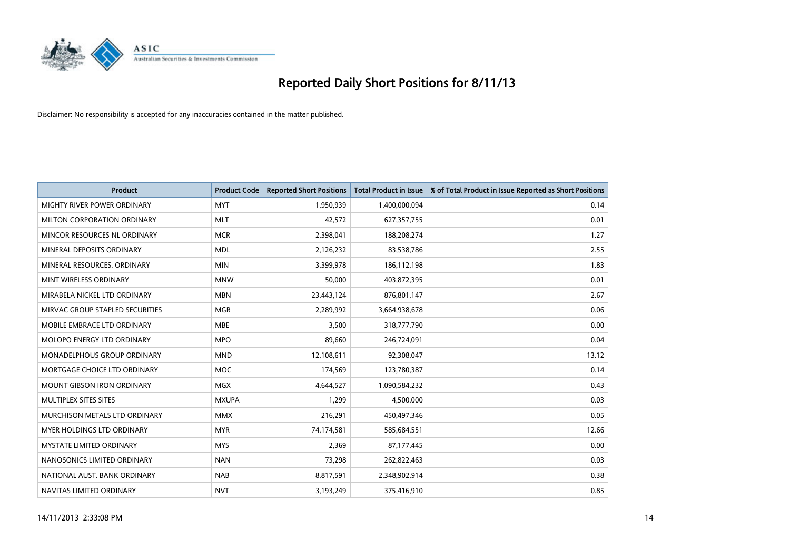

| <b>Product</b>                  | <b>Product Code</b> | <b>Reported Short Positions</b> | <b>Total Product in Issue</b> | % of Total Product in Issue Reported as Short Positions |
|---------------------------------|---------------------|---------------------------------|-------------------------------|---------------------------------------------------------|
| MIGHTY RIVER POWER ORDINARY     | <b>MYT</b>          | 1,950,939                       | 1,400,000,094                 | 0.14                                                    |
| MILTON CORPORATION ORDINARY     | <b>MLT</b>          | 42,572                          | 627,357,755                   | 0.01                                                    |
| MINCOR RESOURCES NL ORDINARY    | <b>MCR</b>          | 2,398,041                       | 188,208,274                   | 1.27                                                    |
| MINERAL DEPOSITS ORDINARY       | <b>MDL</b>          | 2,126,232                       | 83,538,786                    | 2.55                                                    |
| MINERAL RESOURCES, ORDINARY     | <b>MIN</b>          | 3,399,978                       | 186, 112, 198                 | 1.83                                                    |
| MINT WIRELESS ORDINARY          | <b>MNW</b>          | 50,000                          | 403,872,395                   | 0.01                                                    |
| MIRABELA NICKEL LTD ORDINARY    | <b>MBN</b>          | 23,443,124                      | 876,801,147                   | 2.67                                                    |
| MIRVAC GROUP STAPLED SECURITIES | <b>MGR</b>          | 2,289,992                       | 3,664,938,678                 | 0.06                                                    |
| MOBILE EMBRACE LTD ORDINARY     | <b>MBE</b>          | 3,500                           | 318,777,790                   | 0.00                                                    |
| MOLOPO ENERGY LTD ORDINARY      | <b>MPO</b>          | 89,660                          | 246,724,091                   | 0.04                                                    |
| MONADELPHOUS GROUP ORDINARY     | <b>MND</b>          | 12,108,611                      | 92,308,047                    | 13.12                                                   |
| MORTGAGE CHOICE LTD ORDINARY    | <b>MOC</b>          | 174,569                         | 123,780,387                   | 0.14                                                    |
| MOUNT GIBSON IRON ORDINARY      | <b>MGX</b>          | 4,644,527                       | 1,090,584,232                 | 0.43                                                    |
| MULTIPLEX SITES SITES           | <b>MXUPA</b>        | 1,299                           | 4,500,000                     | 0.03                                                    |
| MURCHISON METALS LTD ORDINARY   | <b>MMX</b>          | 216,291                         | 450,497,346                   | 0.05                                                    |
| MYER HOLDINGS LTD ORDINARY      | <b>MYR</b>          | 74,174,581                      | 585,684,551                   | 12.66                                                   |
| MYSTATE LIMITED ORDINARY        | <b>MYS</b>          | 2,369                           | 87,177,445                    | 0.00                                                    |
| NANOSONICS LIMITED ORDINARY     | <b>NAN</b>          | 73,298                          | 262,822,463                   | 0.03                                                    |
| NATIONAL AUST, BANK ORDINARY    | <b>NAB</b>          | 8,817,591                       | 2,348,902,914                 | 0.38                                                    |
| NAVITAS LIMITED ORDINARY        | <b>NVT</b>          | 3,193,249                       | 375,416,910                   | 0.85                                                    |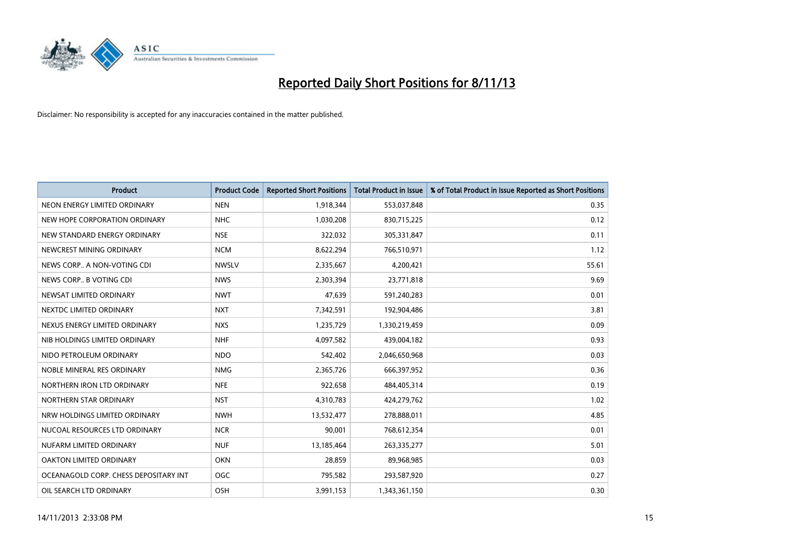

| <b>Product</b>                        | <b>Product Code</b> | <b>Reported Short Positions</b> | <b>Total Product in Issue</b> | % of Total Product in Issue Reported as Short Positions |
|---------------------------------------|---------------------|---------------------------------|-------------------------------|---------------------------------------------------------|
| NEON ENERGY LIMITED ORDINARY          | <b>NEN</b>          | 1,918,344                       | 553,037,848                   | 0.35                                                    |
| NEW HOPE CORPORATION ORDINARY         | <b>NHC</b>          | 1,030,208                       | 830,715,225                   | 0.12                                                    |
| NEW STANDARD ENERGY ORDINARY          | <b>NSE</b>          | 322,032                         | 305,331,847                   | 0.11                                                    |
| NEWCREST MINING ORDINARY              | <b>NCM</b>          | 8,622,294                       | 766,510,971                   | 1.12                                                    |
| NEWS CORP A NON-VOTING CDI            | <b>NWSLV</b>        | 2,335,667                       | 4,200,421                     | 55.61                                                   |
| NEWS CORP B VOTING CDI                | <b>NWS</b>          | 2,303,394                       | 23,771,818                    | 9.69                                                    |
| NEWSAT LIMITED ORDINARY               | <b>NWT</b>          | 47,639                          | 591,240,283                   | 0.01                                                    |
| NEXTDC LIMITED ORDINARY               | <b>NXT</b>          | 7,342,591                       | 192,904,486                   | 3.81                                                    |
| NEXUS ENERGY LIMITED ORDINARY         | <b>NXS</b>          | 1,235,729                       | 1,330,219,459                 | 0.09                                                    |
| NIB HOLDINGS LIMITED ORDINARY         | <b>NHF</b>          | 4,097,582                       | 439,004,182                   | 0.93                                                    |
| NIDO PETROLEUM ORDINARY               | <b>NDO</b>          | 542,402                         | 2,046,650,968                 | 0.03                                                    |
| NOBLE MINERAL RES ORDINARY            | <b>NMG</b>          | 2,365,726                       | 666,397,952                   | 0.36                                                    |
| NORTHERN IRON LTD ORDINARY            | <b>NFE</b>          | 922,658                         | 484,405,314                   | 0.19                                                    |
| NORTHERN STAR ORDINARY                | <b>NST</b>          | 4,310,783                       | 424,279,762                   | 1.02                                                    |
| NRW HOLDINGS LIMITED ORDINARY         | <b>NWH</b>          | 13,532,477                      | 278,888,011                   | 4.85                                                    |
| NUCOAL RESOURCES LTD ORDINARY         | <b>NCR</b>          | 90,001                          | 768,612,354                   | 0.01                                                    |
| NUFARM LIMITED ORDINARY               | <b>NUF</b>          | 13,185,464                      | 263,335,277                   | 5.01                                                    |
| OAKTON LIMITED ORDINARY               | <b>OKN</b>          | 28,859                          | 89,968,985                    | 0.03                                                    |
| OCEANAGOLD CORP. CHESS DEPOSITARY INT | <b>OGC</b>          | 795,582                         | 293,587,920                   | 0.27                                                    |
| OIL SEARCH LTD ORDINARY               | OSH                 | 3,991,153                       | 1,343,361,150                 | 0.30                                                    |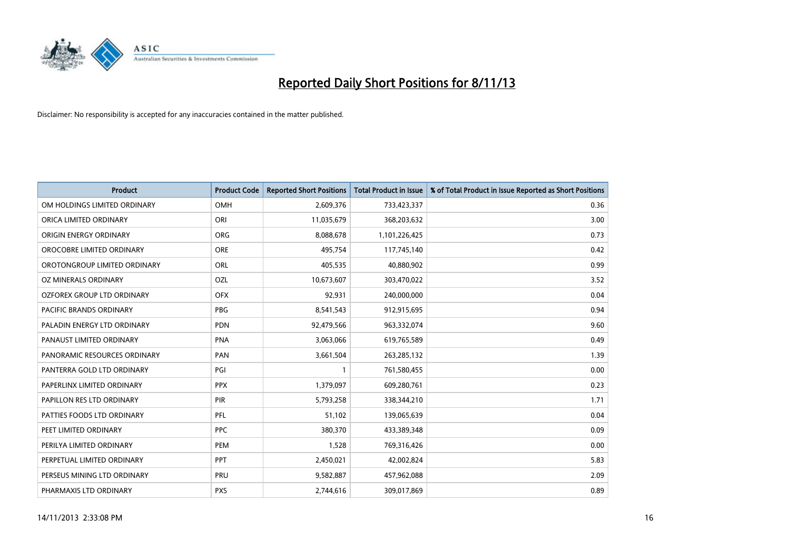

| <b>Product</b>               | <b>Product Code</b> | <b>Reported Short Positions</b> | <b>Total Product in Issue</b> | % of Total Product in Issue Reported as Short Positions |
|------------------------------|---------------------|---------------------------------|-------------------------------|---------------------------------------------------------|
| OM HOLDINGS LIMITED ORDINARY | <b>OMH</b>          | 2,609,376                       | 733,423,337                   | 0.36                                                    |
| ORICA LIMITED ORDINARY       | ORI                 | 11,035,679                      | 368,203,632                   | 3.00                                                    |
| ORIGIN ENERGY ORDINARY       | <b>ORG</b>          | 8,088,678                       | 1,101,226,425                 | 0.73                                                    |
| OROCOBRE LIMITED ORDINARY    | <b>ORE</b>          | 495,754                         | 117,745,140                   | 0.42                                                    |
| OROTONGROUP LIMITED ORDINARY | ORL                 | 405,535                         | 40,880,902                    | 0.99                                                    |
| OZ MINERALS ORDINARY         | OZL                 | 10,673,607                      | 303,470,022                   | 3.52                                                    |
| OZFOREX GROUP LTD ORDINARY   | <b>OFX</b>          | 92,931                          | 240,000,000                   | 0.04                                                    |
| PACIFIC BRANDS ORDINARY      | <b>PBG</b>          | 8,541,543                       | 912,915,695                   | 0.94                                                    |
| PALADIN ENERGY LTD ORDINARY  | <b>PDN</b>          | 92,479,566                      | 963,332,074                   | 9.60                                                    |
| PANAUST LIMITED ORDINARY     | <b>PNA</b>          | 3,063,066                       | 619,765,589                   | 0.49                                                    |
| PANORAMIC RESOURCES ORDINARY | PAN                 | 3,661,504                       | 263,285,132                   | 1.39                                                    |
| PANTERRA GOLD LTD ORDINARY   | PGI                 |                                 | 761,580,455                   | 0.00                                                    |
| PAPERLINX LIMITED ORDINARY   | <b>PPX</b>          | 1,379,097                       | 609,280,761                   | 0.23                                                    |
| PAPILLON RES LTD ORDINARY    | PIR                 | 5,793,258                       | 338,344,210                   | 1.71                                                    |
| PATTIES FOODS LTD ORDINARY   | PFL                 | 51,102                          | 139,065,639                   | 0.04                                                    |
| PEET LIMITED ORDINARY        | <b>PPC</b>          | 380,370                         | 433,389,348                   | 0.09                                                    |
| PERILYA LIMITED ORDINARY     | PEM                 | 1,528                           | 769,316,426                   | 0.00                                                    |
| PERPETUAL LIMITED ORDINARY   | PPT                 | 2,450,021                       | 42,002,824                    | 5.83                                                    |
| PERSEUS MINING LTD ORDINARY  | PRU                 | 9,582,887                       | 457,962,088                   | 2.09                                                    |
| PHARMAXIS LTD ORDINARY       | <b>PXS</b>          | 2,744,616                       | 309,017,869                   | 0.89                                                    |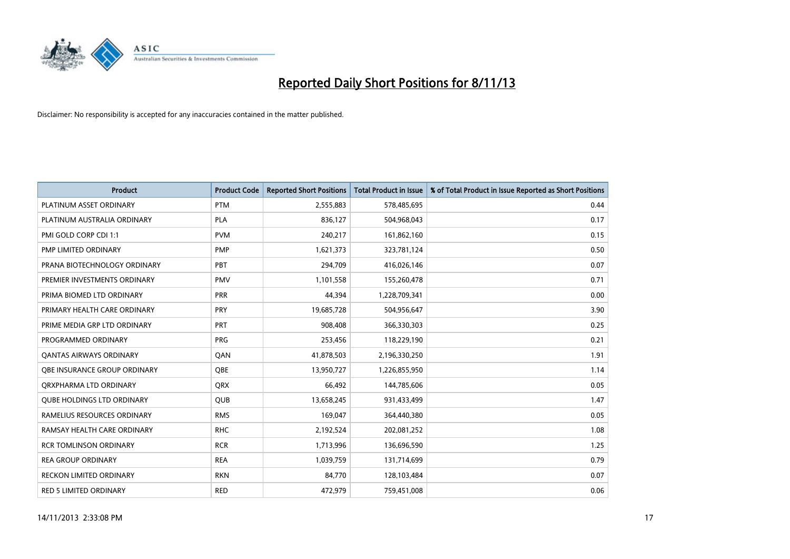

| <b>Product</b>                      | <b>Product Code</b> | <b>Reported Short Positions</b> | <b>Total Product in Issue</b> | % of Total Product in Issue Reported as Short Positions |
|-------------------------------------|---------------------|---------------------------------|-------------------------------|---------------------------------------------------------|
| PLATINUM ASSET ORDINARY             | <b>PTM</b>          | 2,555,883                       | 578,485,695                   | 0.44                                                    |
| PLATINUM AUSTRALIA ORDINARY         | <b>PLA</b>          | 836,127                         | 504,968,043                   | 0.17                                                    |
| PMI GOLD CORP CDI 1:1               | <b>PVM</b>          | 240,217                         | 161,862,160                   | 0.15                                                    |
| PMP LIMITED ORDINARY                | <b>PMP</b>          | 1,621,373                       | 323,781,124                   | 0.50                                                    |
| PRANA BIOTECHNOLOGY ORDINARY        | PBT                 | 294,709                         | 416,026,146                   | 0.07                                                    |
| PREMIER INVESTMENTS ORDINARY        | <b>PMV</b>          | 1,101,558                       | 155,260,478                   | 0.71                                                    |
| PRIMA BIOMED LTD ORDINARY           | <b>PRR</b>          | 44,394                          | 1,228,709,341                 | 0.00                                                    |
| PRIMARY HEALTH CARE ORDINARY        | <b>PRY</b>          | 19,685,728                      | 504,956,647                   | 3.90                                                    |
| PRIME MEDIA GRP LTD ORDINARY        | <b>PRT</b>          | 908,408                         | 366,330,303                   | 0.25                                                    |
| PROGRAMMED ORDINARY                 | <b>PRG</b>          | 253,456                         | 118,229,190                   | 0.21                                                    |
| <b>QANTAS AIRWAYS ORDINARY</b>      | QAN                 | 41,878,503                      | 2,196,330,250                 | 1.91                                                    |
| <b>OBE INSURANCE GROUP ORDINARY</b> | <b>OBE</b>          | 13,950,727                      | 1,226,855,950                 | 1.14                                                    |
| ORXPHARMA LTD ORDINARY              | <b>QRX</b>          | 66,492                          | 144,785,606                   | 0.05                                                    |
| <b>QUBE HOLDINGS LTD ORDINARY</b>   | <b>QUB</b>          | 13,658,245                      | 931,433,499                   | 1.47                                                    |
| RAMELIUS RESOURCES ORDINARY         | <b>RMS</b>          | 169,047                         | 364,440,380                   | 0.05                                                    |
| RAMSAY HEALTH CARE ORDINARY         | <b>RHC</b>          | 2,192,524                       | 202,081,252                   | 1.08                                                    |
| <b>RCR TOMLINSON ORDINARY</b>       | <b>RCR</b>          | 1,713,996                       | 136,696,590                   | 1.25                                                    |
| <b>REA GROUP ORDINARY</b>           | <b>REA</b>          | 1,039,759                       | 131,714,699                   | 0.79                                                    |
| <b>RECKON LIMITED ORDINARY</b>      | <b>RKN</b>          | 84,770                          | 128,103,484                   | 0.07                                                    |
| RED 5 LIMITED ORDINARY              | <b>RED</b>          | 472,979                         | 759,451,008                   | 0.06                                                    |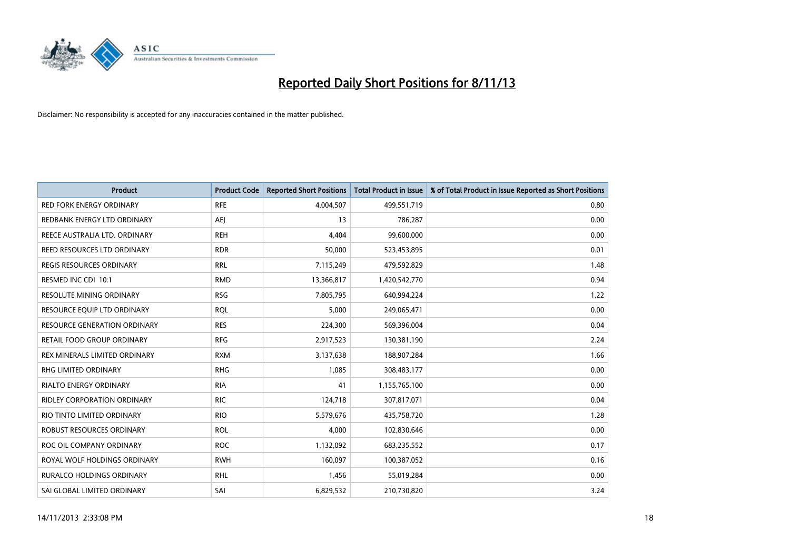

| <b>Product</b>                      | <b>Product Code</b> | <b>Reported Short Positions</b> | <b>Total Product in Issue</b> | % of Total Product in Issue Reported as Short Positions |
|-------------------------------------|---------------------|---------------------------------|-------------------------------|---------------------------------------------------------|
| <b>RED FORK ENERGY ORDINARY</b>     | <b>RFE</b>          | 4,004,507                       | 499,551,719                   | 0.80                                                    |
| REDBANK ENERGY LTD ORDINARY         | AEJ                 | 13                              | 786,287                       | 0.00                                                    |
| REECE AUSTRALIA LTD. ORDINARY       | <b>REH</b>          | 4,404                           | 99,600,000                    | 0.00                                                    |
| REED RESOURCES LTD ORDINARY         | <b>RDR</b>          | 50,000                          | 523,453,895                   | 0.01                                                    |
| <b>REGIS RESOURCES ORDINARY</b>     | <b>RRL</b>          | 7,115,249                       | 479,592,829                   | 1.48                                                    |
| RESMED INC CDI 10:1                 | <b>RMD</b>          | 13,366,817                      | 1,420,542,770                 | 0.94                                                    |
| <b>RESOLUTE MINING ORDINARY</b>     | <b>RSG</b>          | 7,805,795                       | 640,994,224                   | 1.22                                                    |
| RESOURCE EQUIP LTD ORDINARY         | <b>RQL</b>          | 5,000                           | 249,065,471                   | 0.00                                                    |
| <b>RESOURCE GENERATION ORDINARY</b> | <b>RES</b>          | 224,300                         | 569,396,004                   | 0.04                                                    |
| <b>RETAIL FOOD GROUP ORDINARY</b>   | <b>RFG</b>          | 2,917,523                       | 130,381,190                   | 2.24                                                    |
| REX MINERALS LIMITED ORDINARY       | <b>RXM</b>          | 3,137,638                       | 188,907,284                   | 1.66                                                    |
| RHG LIMITED ORDINARY                | <b>RHG</b>          | 1,085                           | 308,483,177                   | 0.00                                                    |
| RIALTO ENERGY ORDINARY              | <b>RIA</b>          | 41                              | 1,155,765,100                 | 0.00                                                    |
| RIDLEY CORPORATION ORDINARY         | <b>RIC</b>          | 124,718                         | 307,817,071                   | 0.04                                                    |
| RIO TINTO LIMITED ORDINARY          | <b>RIO</b>          | 5,579,676                       | 435,758,720                   | 1.28                                                    |
| ROBUST RESOURCES ORDINARY           | <b>ROL</b>          | 4,000                           | 102,830,646                   | 0.00                                                    |
| ROC OIL COMPANY ORDINARY            | <b>ROC</b>          | 1,132,092                       | 683,235,552                   | 0.17                                                    |
| ROYAL WOLF HOLDINGS ORDINARY        | <b>RWH</b>          | 160,097                         | 100,387,052                   | 0.16                                                    |
| <b>RURALCO HOLDINGS ORDINARY</b>    | <b>RHL</b>          | 1,456                           | 55,019,284                    | 0.00                                                    |
| SAI GLOBAL LIMITED ORDINARY         | SAI                 | 6,829,532                       | 210,730,820                   | 3.24                                                    |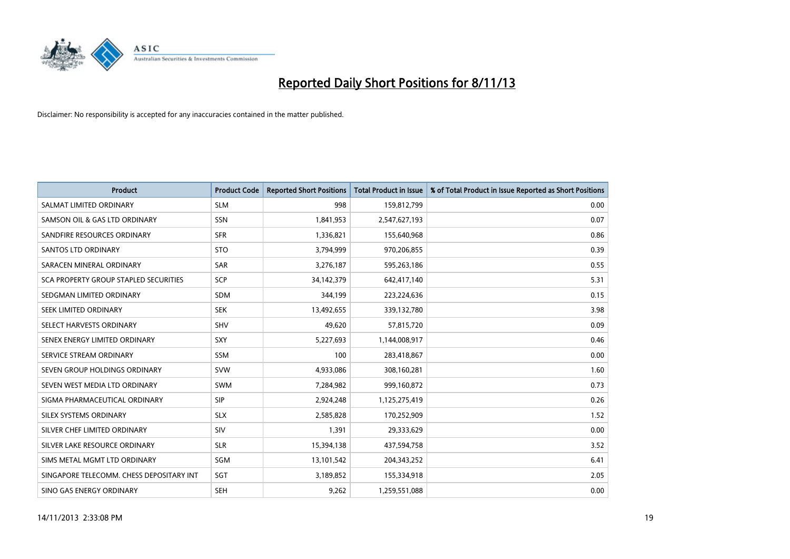

| <b>Product</b>                           | <b>Product Code</b> | <b>Reported Short Positions</b> | <b>Total Product in Issue</b> | % of Total Product in Issue Reported as Short Positions |
|------------------------------------------|---------------------|---------------------------------|-------------------------------|---------------------------------------------------------|
| SALMAT LIMITED ORDINARY                  | <b>SLM</b>          | 998                             | 159,812,799                   | 0.00                                                    |
| SAMSON OIL & GAS LTD ORDINARY            | SSN                 | 1,841,953                       | 2,547,627,193                 | 0.07                                                    |
| SANDFIRE RESOURCES ORDINARY              | <b>SFR</b>          | 1,336,821                       | 155,640,968                   | 0.86                                                    |
| SANTOS LTD ORDINARY                      | <b>STO</b>          | 3,794,999                       | 970,206,855                   | 0.39                                                    |
| SARACEN MINERAL ORDINARY                 | <b>SAR</b>          | 3,276,187                       | 595,263,186                   | 0.55                                                    |
| SCA PROPERTY GROUP STAPLED SECURITIES    | SCP                 | 34,142,379                      | 642,417,140                   | 5.31                                                    |
| SEDGMAN LIMITED ORDINARY                 | <b>SDM</b>          | 344,199                         | 223,224,636                   | 0.15                                                    |
| SEEK LIMITED ORDINARY                    | <b>SEK</b>          | 13,492,655                      | 339,132,780                   | 3.98                                                    |
| SELECT HARVESTS ORDINARY                 | SHV                 | 49,620                          | 57,815,720                    | 0.09                                                    |
| SENEX ENERGY LIMITED ORDINARY            | SXY                 | 5,227,693                       | 1,144,008,917                 | 0.46                                                    |
| SERVICE STREAM ORDINARY                  | SSM                 | 100                             | 283,418,867                   | 0.00                                                    |
| SEVEN GROUP HOLDINGS ORDINARY            | <b>SVW</b>          | 4,933,086                       | 308,160,281                   | 1.60                                                    |
| SEVEN WEST MEDIA LTD ORDINARY            | SWM                 | 7,284,982                       | 999,160,872                   | 0.73                                                    |
| SIGMA PHARMACEUTICAL ORDINARY            | <b>SIP</b>          | 2,924,248                       | 1,125,275,419                 | 0.26                                                    |
| SILEX SYSTEMS ORDINARY                   | <b>SLX</b>          | 2,585,828                       | 170,252,909                   | 1.52                                                    |
| SILVER CHEF LIMITED ORDINARY             | SIV                 | 1,391                           | 29,333,629                    | 0.00                                                    |
| SILVER LAKE RESOURCE ORDINARY            | <b>SLR</b>          | 15,394,138                      | 437,594,758                   | 3.52                                                    |
| SIMS METAL MGMT LTD ORDINARY             | SGM                 | 13,101,542                      | 204,343,252                   | 6.41                                                    |
| SINGAPORE TELECOMM. CHESS DEPOSITARY INT | SGT                 | 3,189,852                       | 155,334,918                   | 2.05                                                    |
| SINO GAS ENERGY ORDINARY                 | <b>SEH</b>          | 9,262                           | 1,259,551,088                 | 0.00                                                    |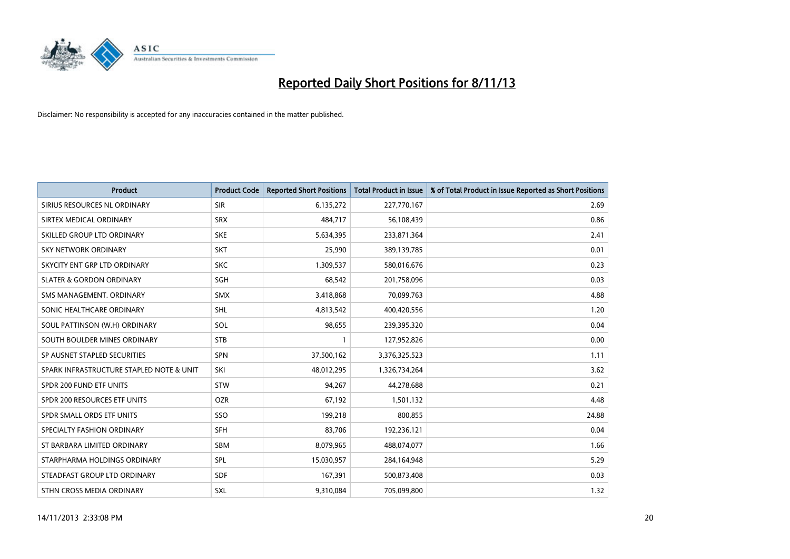

| <b>Product</b>                           | <b>Product Code</b> | <b>Reported Short Positions</b> | <b>Total Product in Issue</b> | % of Total Product in Issue Reported as Short Positions |
|------------------------------------------|---------------------|---------------------------------|-------------------------------|---------------------------------------------------------|
| SIRIUS RESOURCES NL ORDINARY             | <b>SIR</b>          | 6,135,272                       | 227,770,167                   | 2.69                                                    |
| SIRTEX MEDICAL ORDINARY                  | <b>SRX</b>          | 484,717                         | 56,108,439                    | 0.86                                                    |
| SKILLED GROUP LTD ORDINARY               | <b>SKE</b>          | 5,634,395                       | 233,871,364                   | 2.41                                                    |
| <b>SKY NETWORK ORDINARY</b>              | <b>SKT</b>          | 25,990                          | 389,139,785                   | 0.01                                                    |
| SKYCITY ENT GRP LTD ORDINARY             | <b>SKC</b>          | 1,309,537                       | 580,016,676                   | 0.23                                                    |
| <b>SLATER &amp; GORDON ORDINARY</b>      | <b>SGH</b>          | 68,542                          | 201,758,096                   | 0.03                                                    |
| SMS MANAGEMENT, ORDINARY                 | <b>SMX</b>          | 3,418,868                       | 70,099,763                    | 4.88                                                    |
| SONIC HEALTHCARE ORDINARY                | <b>SHL</b>          | 4,813,542                       | 400,420,556                   | 1.20                                                    |
| SOUL PATTINSON (W.H) ORDINARY            | SOL                 | 98,655                          | 239,395,320                   | 0.04                                                    |
| SOUTH BOULDER MINES ORDINARY             | <b>STB</b>          | 1                               | 127,952,826                   | 0.00                                                    |
| SP AUSNET STAPLED SECURITIES             | SPN                 | 37,500,162                      | 3,376,325,523                 | 1.11                                                    |
| SPARK INFRASTRUCTURE STAPLED NOTE & UNIT | SKI                 | 48,012,295                      | 1,326,734,264                 | 3.62                                                    |
| SPDR 200 FUND ETF UNITS                  | <b>STW</b>          | 94,267                          | 44,278,688                    | 0.21                                                    |
| SPDR 200 RESOURCES ETF UNITS             | <b>OZR</b>          | 67,192                          | 1,501,132                     | 4.48                                                    |
| SPDR SMALL ORDS ETF UNITS                | SSO                 | 199,218                         | 800,855                       | 24.88                                                   |
| SPECIALTY FASHION ORDINARY               | SFH                 | 83,706                          | 192,236,121                   | 0.04                                                    |
| ST BARBARA LIMITED ORDINARY              | SBM                 | 8,079,965                       | 488,074,077                   | 1.66                                                    |
| STARPHARMA HOLDINGS ORDINARY             | <b>SPL</b>          | 15,030,957                      | 284,164,948                   | 5.29                                                    |
| STEADFAST GROUP LTD ORDINARY             | <b>SDF</b>          | 167,391                         | 500,873,408                   | 0.03                                                    |
| STHN CROSS MEDIA ORDINARY                | SXL                 | 9,310,084                       | 705,099,800                   | 1.32                                                    |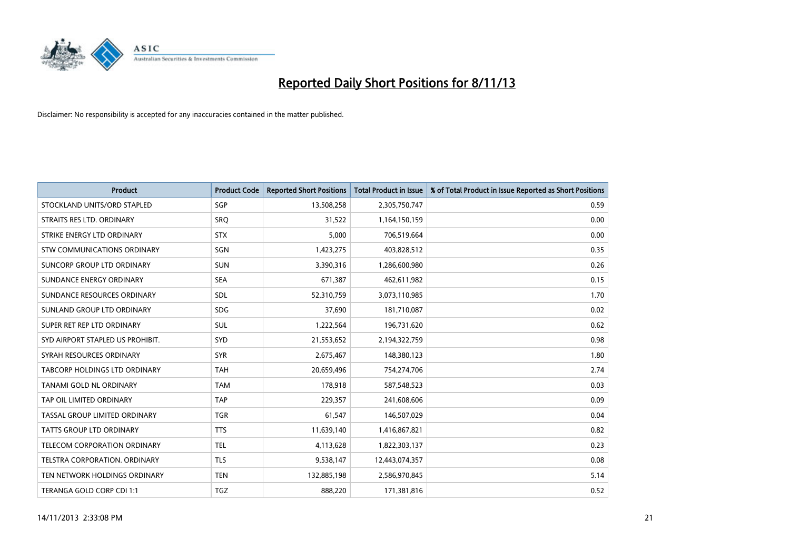

| <b>Product</b>                       | <b>Product Code</b> | <b>Reported Short Positions</b> | <b>Total Product in Issue</b> | % of Total Product in Issue Reported as Short Positions |
|--------------------------------------|---------------------|---------------------------------|-------------------------------|---------------------------------------------------------|
| STOCKLAND UNITS/ORD STAPLED          | SGP                 | 13,508,258                      | 2,305,750,747                 | 0.59                                                    |
| STRAITS RES LTD. ORDINARY            | SRQ                 | 31,522                          | 1,164,150,159                 | 0.00                                                    |
| STRIKE ENERGY LTD ORDINARY           | <b>STX</b>          | 5,000                           | 706,519,664                   | 0.00                                                    |
| STW COMMUNICATIONS ORDINARY          | SGN                 | 1,423,275                       | 403,828,512                   | 0.35                                                    |
| SUNCORP GROUP LTD ORDINARY           | <b>SUN</b>          | 3,390,316                       | 1,286,600,980                 | 0.26                                                    |
| SUNDANCE ENERGY ORDINARY             | <b>SEA</b>          | 671,387                         | 462,611,982                   | 0.15                                                    |
| SUNDANCE RESOURCES ORDINARY          | <b>SDL</b>          | 52,310,759                      | 3,073,110,985                 | 1.70                                                    |
| SUNLAND GROUP LTD ORDINARY           | <b>SDG</b>          | 37,690                          | 181,710,087                   | 0.02                                                    |
| SUPER RET REP LTD ORDINARY           | <b>SUL</b>          | 1,222,564                       | 196,731,620                   | 0.62                                                    |
| SYD AIRPORT STAPLED US PROHIBIT.     | SYD                 | 21,553,652                      | 2,194,322,759                 | 0.98                                                    |
| SYRAH RESOURCES ORDINARY             | <b>SYR</b>          | 2,675,467                       | 148,380,123                   | 1.80                                                    |
| <b>TABCORP HOLDINGS LTD ORDINARY</b> | TAH                 | 20,659,496                      | 754,274,706                   | 2.74                                                    |
| TANAMI GOLD NL ORDINARY              | <b>TAM</b>          | 178,918                         | 587,548,523                   | 0.03                                                    |
| TAP OIL LIMITED ORDINARY             | <b>TAP</b>          | 229,357                         | 241,608,606                   | 0.09                                                    |
| TASSAL GROUP LIMITED ORDINARY        | <b>TGR</b>          | 61,547                          | 146,507,029                   | 0.04                                                    |
| <b>TATTS GROUP LTD ORDINARY</b>      | <b>TTS</b>          | 11,639,140                      | 1,416,867,821                 | 0.82                                                    |
| TELECOM CORPORATION ORDINARY         | <b>TEL</b>          | 4,113,628                       | 1,822,303,137                 | 0.23                                                    |
| TELSTRA CORPORATION. ORDINARY        | <b>TLS</b>          | 9,538,147                       | 12,443,074,357                | 0.08                                                    |
| TEN NETWORK HOLDINGS ORDINARY        | <b>TEN</b>          | 132,885,198                     | 2,586,970,845                 | 5.14                                                    |
| TERANGA GOLD CORP CDI 1:1            | <b>TGZ</b>          | 888,220                         | 171,381,816                   | 0.52                                                    |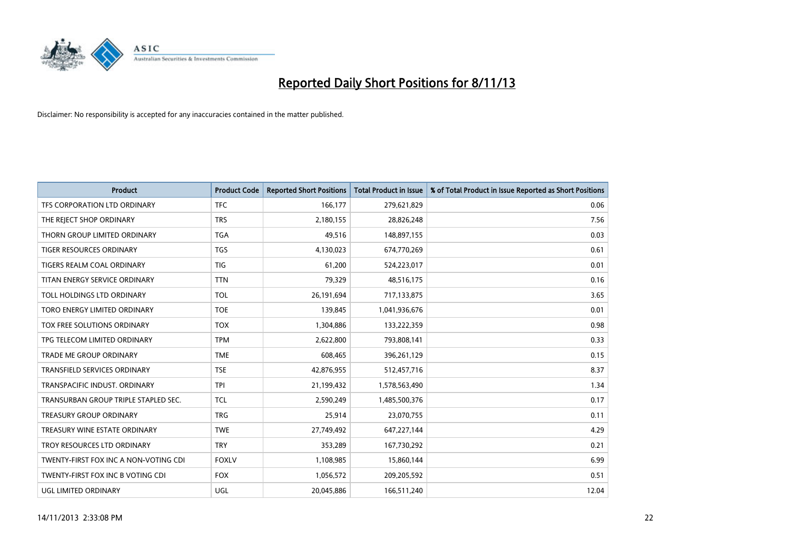

| <b>Product</b>                        | <b>Product Code</b> | <b>Reported Short Positions</b> | <b>Total Product in Issue</b> | % of Total Product in Issue Reported as Short Positions |
|---------------------------------------|---------------------|---------------------------------|-------------------------------|---------------------------------------------------------|
| TFS CORPORATION LTD ORDINARY          | <b>TFC</b>          | 166,177                         | 279,621,829                   | 0.06                                                    |
| THE REJECT SHOP ORDINARY              | <b>TRS</b>          | 2,180,155                       | 28,826,248                    | 7.56                                                    |
| THORN GROUP LIMITED ORDINARY          | <b>TGA</b>          | 49,516                          | 148,897,155                   | 0.03                                                    |
| TIGER RESOURCES ORDINARY              | <b>TGS</b>          | 4,130,023                       | 674,770,269                   | 0.61                                                    |
| TIGERS REALM COAL ORDINARY            | <b>TIG</b>          | 61,200                          | 524,223,017                   | 0.01                                                    |
| TITAN ENERGY SERVICE ORDINARY         | <b>TTN</b>          | 79,329                          | 48,516,175                    | 0.16                                                    |
| TOLL HOLDINGS LTD ORDINARY            | <b>TOL</b>          | 26,191,694                      | 717,133,875                   | 3.65                                                    |
| TORO ENERGY LIMITED ORDINARY          | <b>TOE</b>          | 139,845                         | 1,041,936,676                 | 0.01                                                    |
| TOX FREE SOLUTIONS ORDINARY           | <b>TOX</b>          | 1,304,886                       | 133,222,359                   | 0.98                                                    |
| TPG TELECOM LIMITED ORDINARY          | <b>TPM</b>          | 2,622,800                       | 793,808,141                   | 0.33                                                    |
| TRADE ME GROUP ORDINARY               | <b>TME</b>          | 608,465                         | 396,261,129                   | 0.15                                                    |
| TRANSFIELD SERVICES ORDINARY          | <b>TSE</b>          | 42,876,955                      | 512,457,716                   | 8.37                                                    |
| TRANSPACIFIC INDUST, ORDINARY         | <b>TPI</b>          | 21,199,432                      | 1,578,563,490                 | 1.34                                                    |
| TRANSURBAN GROUP TRIPLE STAPLED SEC.  | <b>TCL</b>          | 2,590,249                       | 1,485,500,376                 | 0.17                                                    |
| <b>TREASURY GROUP ORDINARY</b>        | <b>TRG</b>          | 25,914                          | 23,070,755                    | 0.11                                                    |
| TREASURY WINE ESTATE ORDINARY         | <b>TWE</b>          | 27,749,492                      | 647,227,144                   | 4.29                                                    |
| TROY RESOURCES LTD ORDINARY           | <b>TRY</b>          | 353,289                         | 167,730,292                   | 0.21                                                    |
| TWENTY-FIRST FOX INC A NON-VOTING CDI | <b>FOXLV</b>        | 1,108,985                       | 15,860,144                    | 6.99                                                    |
| TWENTY-FIRST FOX INC B VOTING CDI     | <b>FOX</b>          | 1,056,572                       | 209,205,592                   | 0.51                                                    |
| <b>UGL LIMITED ORDINARY</b>           | UGL                 | 20,045,886                      | 166,511,240                   | 12.04                                                   |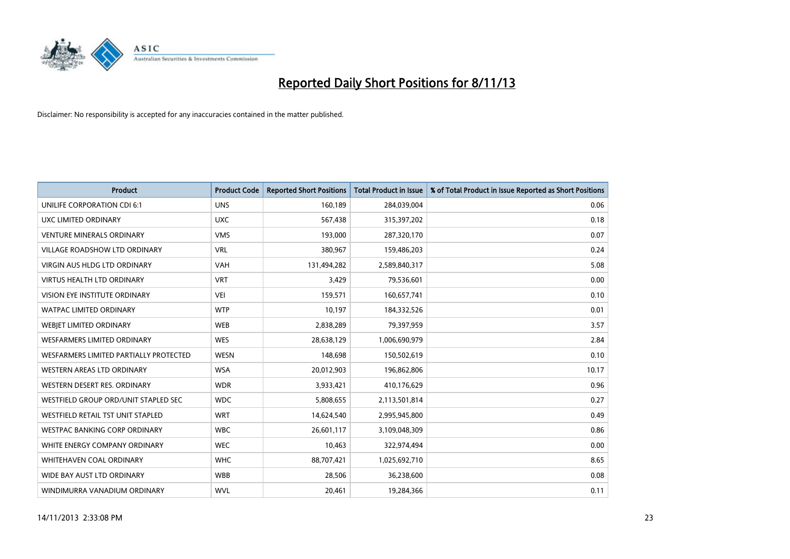

| <b>Product</b>                         | <b>Product Code</b> | <b>Reported Short Positions</b> | <b>Total Product in Issue</b> | % of Total Product in Issue Reported as Short Positions |
|----------------------------------------|---------------------|---------------------------------|-------------------------------|---------------------------------------------------------|
| UNILIFE CORPORATION CDI 6:1            | <b>UNS</b>          | 160,189                         | 284,039,004                   | 0.06                                                    |
| UXC LIMITED ORDINARY                   | <b>UXC</b>          | 567,438                         | 315,397,202                   | 0.18                                                    |
| <b>VENTURE MINERALS ORDINARY</b>       | <b>VMS</b>          | 193,000                         | 287,320,170                   | 0.07                                                    |
| <b>VILLAGE ROADSHOW LTD ORDINARY</b>   | <b>VRL</b>          | 380,967                         | 159,486,203                   | 0.24                                                    |
| <b>VIRGIN AUS HLDG LTD ORDINARY</b>    | <b>VAH</b>          | 131,494,282                     | 2,589,840,317                 | 5.08                                                    |
| <b>VIRTUS HEALTH LTD ORDINARY</b>      | <b>VRT</b>          | 3,429                           | 79,536,601                    | 0.00                                                    |
| <b>VISION EYE INSTITUTE ORDINARY</b>   | <b>VEI</b>          | 159,571                         | 160,657,741                   | 0.10                                                    |
| <b>WATPAC LIMITED ORDINARY</b>         | <b>WTP</b>          | 10,197                          | 184,332,526                   | 0.01                                                    |
| WEBJET LIMITED ORDINARY                | <b>WEB</b>          | 2,838,289                       | 79,397,959                    | 3.57                                                    |
| <b>WESFARMERS LIMITED ORDINARY</b>     | <b>WES</b>          | 28,638,129                      | 1,006,690,979                 | 2.84                                                    |
| WESFARMERS LIMITED PARTIALLY PROTECTED | <b>WESN</b>         | 148,698                         | 150,502,619                   | 0.10                                                    |
| <b>WESTERN AREAS LTD ORDINARY</b>      | <b>WSA</b>          | 20,012,903                      | 196,862,806                   | 10.17                                                   |
| WESTERN DESERT RES. ORDINARY           | <b>WDR</b>          | 3,933,421                       | 410,176,629                   | 0.96                                                    |
| WESTFIELD GROUP ORD/UNIT STAPLED SEC   | <b>WDC</b>          | 5,808,655                       | 2,113,501,814                 | 0.27                                                    |
| WESTFIELD RETAIL TST UNIT STAPLED      | <b>WRT</b>          | 14,624,540                      | 2,995,945,800                 | 0.49                                                    |
| WESTPAC BANKING CORP ORDINARY          | <b>WBC</b>          | 26,601,117                      | 3,109,048,309                 | 0.86                                                    |
| WHITE ENERGY COMPANY ORDINARY          | <b>WEC</b>          | 10,463                          | 322,974,494                   | 0.00                                                    |
| WHITEHAVEN COAL ORDINARY               | <b>WHC</b>          | 88,707,421                      | 1,025,692,710                 | 8.65                                                    |
| WIDE BAY AUST LTD ORDINARY             | <b>WBB</b>          | 28,506                          | 36,238,600                    | 0.08                                                    |
| WINDIMURRA VANADIUM ORDINARY           | <b>WVL</b>          | 20,461                          | 19,284,366                    | 0.11                                                    |